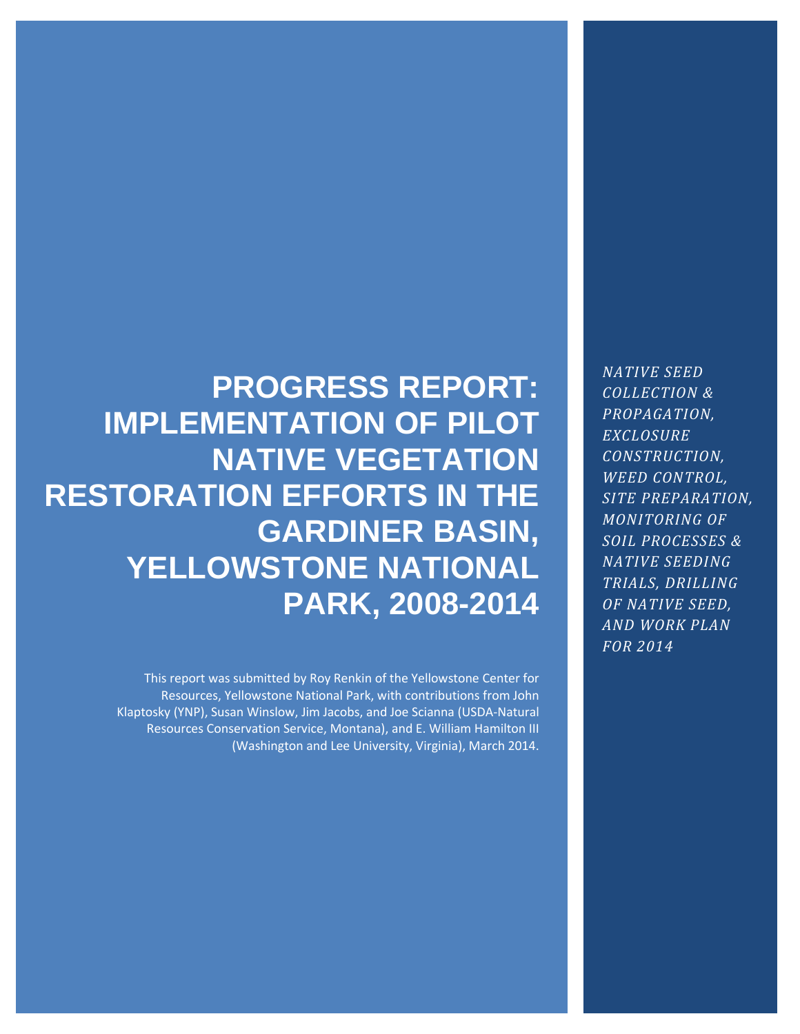# **PROGRESS REPORT: IMPLEMENTATION OF PILOT NATIVE VEGETATION RESTORATION EFFORTS IN THE GARDINER BASIN, YELLOWSTONE NATIONAL PARK, 2008-2014**

This report was submitted by Roy Renkin of the Yellowstone Center for Resources, Yellowstone National Park, with contributions from John Klaptosky (YNP), Susan Winslow, Jim Jacobs, and Joe Scianna (USDA-Natural Resources Conservation Service, Montana), and E. William Hamilton III (Washington and Lee University, Virginia), March 2014.

*NATIVE SEED COLLECTION & PROPAGATION, EXCLOSURE CONSTRUCTION, WEED CONTROL, SITE PREPARATION, MONITORING OF SOIL PROCESSES & NATIVE SEEDING TRIALS, DRILLING OF NATIVE SEED, AND WORK PLAN FOR 2014*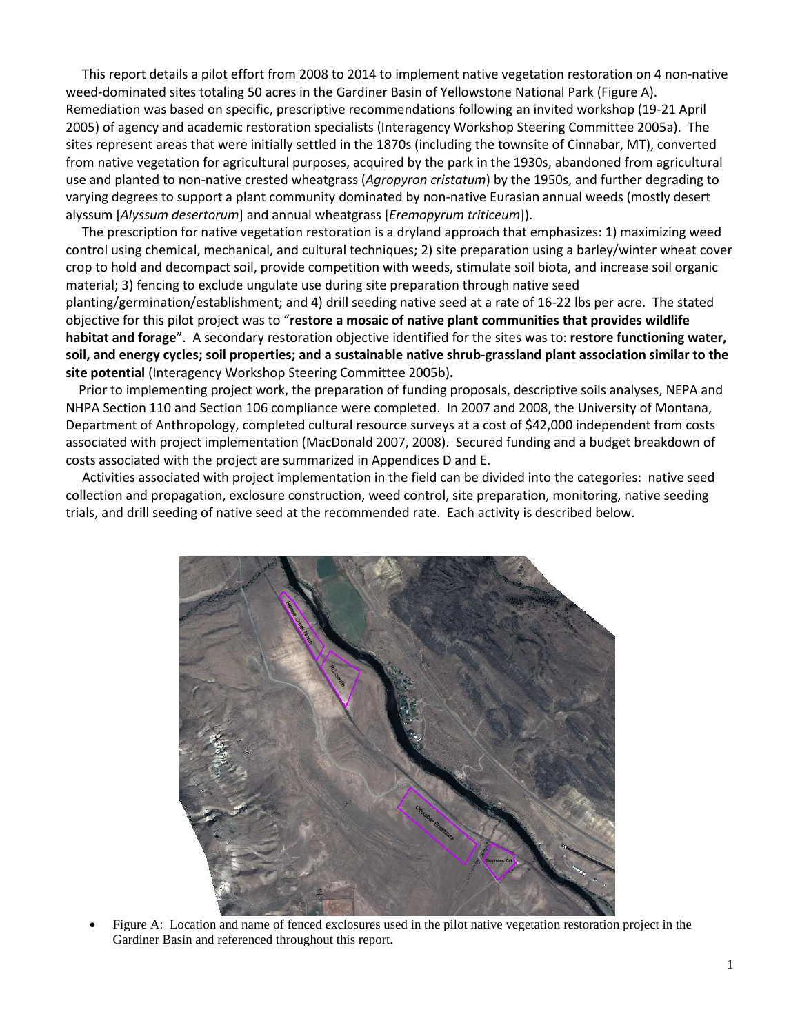This report details a pilot effort from 2008 to 2014 to implement native vegetation restoration on 4 non-native weed-dominated sites totaling 50 acres in the Gardiner Basin of Yellowstone National Park (Figure A). Remediation was based on specific, prescriptive recommendations following an invited workshop (19-21 April 2005) of agency and academic restoration specialists (Interagency Workshop Steering Committee 2005a). The sites represent areas that were initially settled in the 1870s (including the townsite of Cinnabar, MT), converted from native vegetation for agricultural purposes, acquired by the park in the 1930s, abandoned from agricultural use and planted to non-native crested wheatgrass (*Agropyron cristatum*) by the 1950s, and further degrading to varying degrees to support a plant community dominated by non-native Eurasian annual weeds (mostly desert alyssum [*Alyssum desertorum*] and annual wheatgrass [*Eremopyrum triticeum*]).

 The prescription for native vegetation restoration is a dryland approach that emphasizes: 1) maximizing weed control using chemical, mechanical, and cultural techniques; 2) site preparation using a barley/winter wheat cover crop to hold and decompact soil, provide competition with weeds, stimulate soil biota, and increase soil organic material; 3) fencing to exclude ungulate use during site preparation through native seed

planting/germination/establishment; and 4) drill seeding native seed at a rate of 16-22 lbs per acre. The stated objective for this pilot project was to "**restore a mosaic of native plant communities that provides wildlife habitat and forage**". A secondary restoration objective identified for the sites was to: **restore functioning water, soil, and energy cycles; soil properties; and a sustainable native shrub-grassland plant association similar to the site potential** (Interagency Workshop Steering Committee 2005b)**.**

 Prior to implementing project work, the preparation of funding proposals, descriptive soils analyses, NEPA and NHPA Section 110 and Section 106 compliance were completed. In 2007 and 2008, the University of Montana, Department of Anthropology, completed cultural resource surveys at a cost of \$42,000 independent from costs associated with project implementation (MacDonald 2007, 2008). Secured funding and a budget breakdown of costs associated with the project are summarized in Appendices D and E.

 Activities associated with project implementation in the field can be divided into the categories: native seed collection and propagation, exclosure construction, weed control, site preparation, monitoring, native seeding trials, and drill seeding of native seed at the recommended rate. Each activity is described below.



Figure A: Location and name of fenced exclosures used in the pilot native vegetation restoration project in the Gardiner Basin and referenced throughout this report.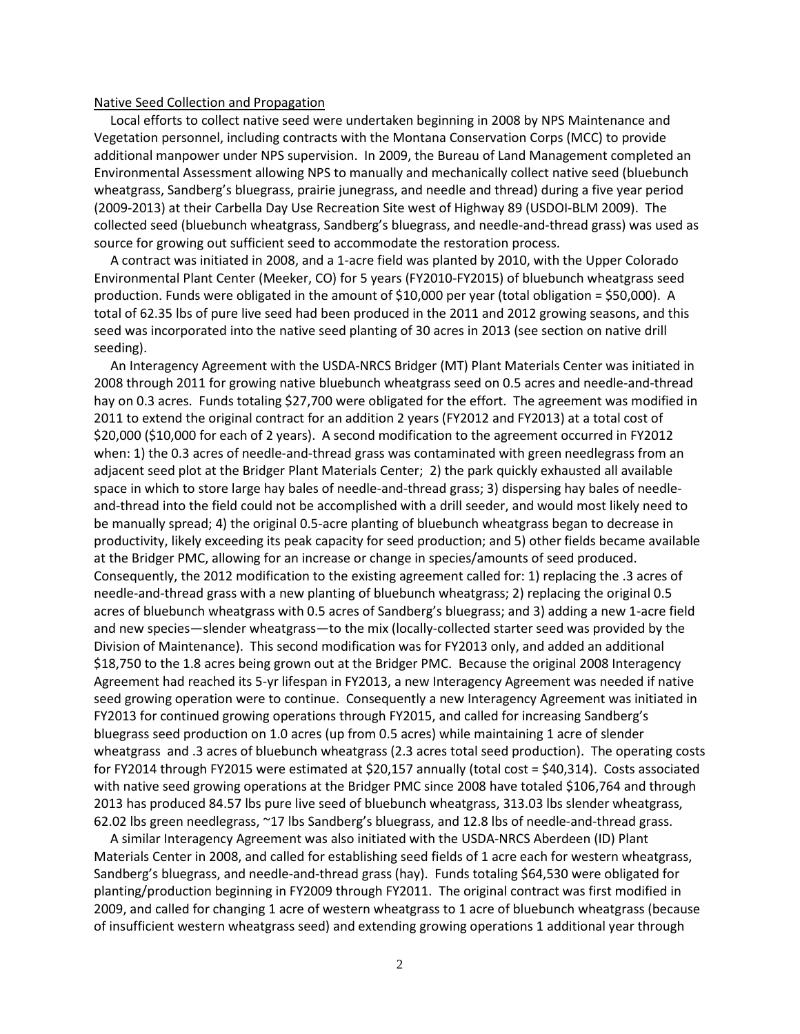#### Native Seed Collection and Propagation

 Local efforts to collect native seed were undertaken beginning in 2008 by NPS Maintenance and Vegetation personnel, including contracts with the Montana Conservation Corps (MCC) to provide additional manpower under NPS supervision. In 2009, the Bureau of Land Management completed an Environmental Assessment allowing NPS to manually and mechanically collect native seed (bluebunch wheatgrass, Sandberg's bluegrass, prairie junegrass, and needle and thread) during a five year period (2009-2013) at their Carbella Day Use Recreation Site west of Highway 89 (USDOI-BLM 2009). The collected seed (bluebunch wheatgrass, Sandberg's bluegrass, and needle-and-thread grass) was used as source for growing out sufficient seed to accommodate the restoration process.

 A contract was initiated in 2008, and a 1-acre field was planted by 2010, with the Upper Colorado Environmental Plant Center (Meeker, CO) for 5 years (FY2010-FY2015) of bluebunch wheatgrass seed production. Funds were obligated in the amount of \$10,000 per year (total obligation = \$50,000). A total of 62.35 lbs of pure live seed had been produced in the 2011 and 2012 growing seasons, and this seed was incorporated into the native seed planting of 30 acres in 2013 (see section on native drill seeding).

 An Interagency Agreement with the USDA-NRCS Bridger (MT) Plant Materials Center was initiated in 2008 through 2011 for growing native bluebunch wheatgrass seed on 0.5 acres and needle-and-thread hay on 0.3 acres. Funds totaling \$27,700 were obligated for the effort. The agreement was modified in 2011 to extend the original contract for an addition 2 years (FY2012 and FY2013) at a total cost of \$20,000 (\$10,000 for each of 2 years). A second modification to the agreement occurred in FY2012 when: 1) the 0.3 acres of needle-and-thread grass was contaminated with green needlegrass from an adjacent seed plot at the Bridger Plant Materials Center; 2) the park quickly exhausted all available space in which to store large hay bales of needle-and-thread grass; 3) dispersing hay bales of needleand-thread into the field could not be accomplished with a drill seeder, and would most likely need to be manually spread; 4) the original 0.5-acre planting of bluebunch wheatgrass began to decrease in productivity, likely exceeding its peak capacity for seed production; and 5) other fields became available at the Bridger PMC, allowing for an increase or change in species/amounts of seed produced. Consequently, the 2012 modification to the existing agreement called for: 1) replacing the .3 acres of needle-and-thread grass with a new planting of bluebunch wheatgrass; 2) replacing the original 0.5 acres of bluebunch wheatgrass with 0.5 acres of Sandberg's bluegrass; and 3) adding a new 1-acre field and new species—slender wheatgrass—to the mix (locally-collected starter seed was provided by the Division of Maintenance). This second modification was for FY2013 only, and added an additional \$18,750 to the 1.8 acres being grown out at the Bridger PMC. Because the original 2008 Interagency Agreement had reached its 5-yr lifespan in FY2013, a new Interagency Agreement was needed if native seed growing operation were to continue. Consequently a new Interagency Agreement was initiated in FY2013 for continued growing operations through FY2015, and called for increasing Sandberg's bluegrass seed production on 1.0 acres (up from 0.5 acres) while maintaining 1 acre of slender wheatgrass and .3 acres of bluebunch wheatgrass (2.3 acres total seed production). The operating costs for FY2014 through FY2015 were estimated at \$20,157 annually (total cost = \$40,314). Costs associated with native seed growing operations at the Bridger PMC since 2008 have totaled \$106,764 and through 2013 has produced 84.57 lbs pure live seed of bluebunch wheatgrass, 313.03 lbs slender wheatgrass, 62.02 lbs green needlegrass, ~17 lbs Sandberg's bluegrass, and 12.8 lbs of needle-and-thread grass.

 A similar Interagency Agreement was also initiated with the USDA-NRCS Aberdeen (ID) Plant Materials Center in 2008, and called for establishing seed fields of 1 acre each for western wheatgrass, Sandberg's bluegrass, and needle-and-thread grass (hay). Funds totaling \$64,530 were obligated for planting/production beginning in FY2009 through FY2011. The original contract was first modified in 2009, and called for changing 1 acre of western wheatgrass to 1 acre of bluebunch wheatgrass (because of insufficient western wheatgrass seed) and extending growing operations 1 additional year through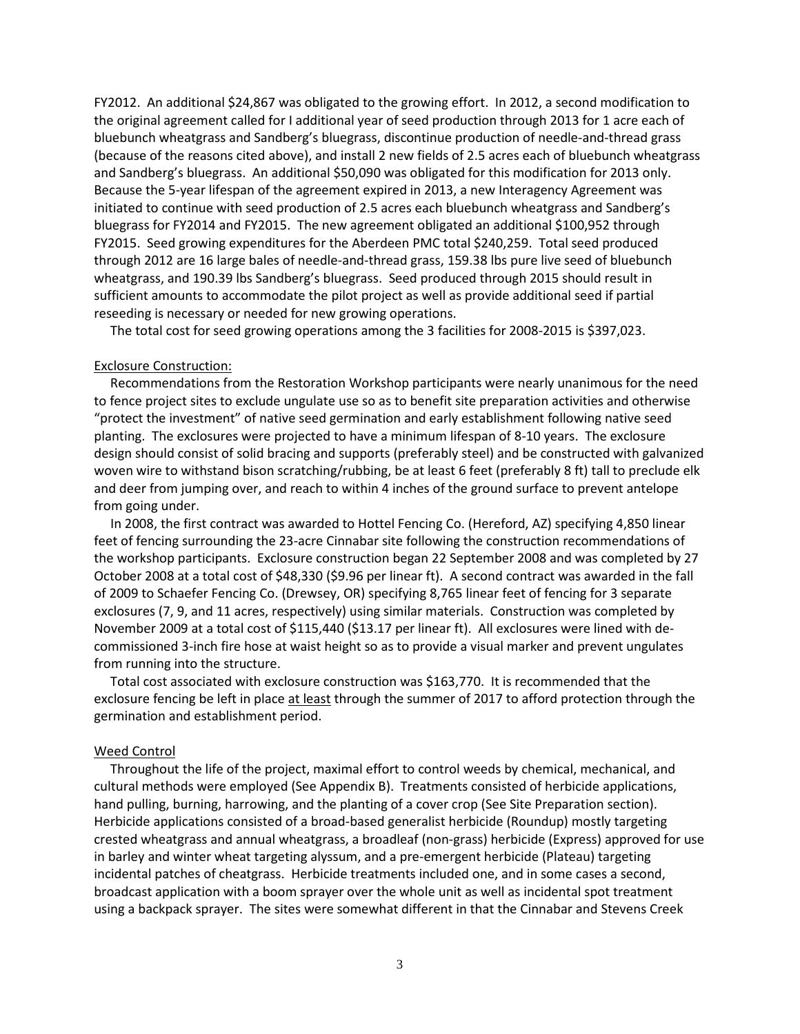FY2012. An additional \$24,867 was obligated to the growing effort. In 2012, a second modification to the original agreement called for I additional year of seed production through 2013 for 1 acre each of bluebunch wheatgrass and Sandberg's bluegrass, discontinue production of needle-and-thread grass (because of the reasons cited above), and install 2 new fields of 2.5 acres each of bluebunch wheatgrass and Sandberg's bluegrass. An additional \$50,090 was obligated for this modification for 2013 only. Because the 5-year lifespan of the agreement expired in 2013, a new Interagency Agreement was initiated to continue with seed production of 2.5 acres each bluebunch wheatgrass and Sandberg's bluegrass for FY2014 and FY2015. The new agreement obligated an additional \$100,952 through FY2015. Seed growing expenditures for the Aberdeen PMC total \$240,259. Total seed produced through 2012 are 16 large bales of needle-and-thread grass, 159.38 lbs pure live seed of bluebunch wheatgrass, and 190.39 lbs Sandberg's bluegrass. Seed produced through 2015 should result in sufficient amounts to accommodate the pilot project as well as provide additional seed if partial reseeding is necessary or needed for new growing operations.

The total cost for seed growing operations among the 3 facilities for 2008-2015 is \$397,023.

#### Exclosure Construction:

 Recommendations from the Restoration Workshop participants were nearly unanimous for the need to fence project sites to exclude ungulate use so as to benefit site preparation activities and otherwise "protect the investment" of native seed germination and early establishment following native seed planting. The exclosures were projected to have a minimum lifespan of 8-10 years. The exclosure design should consist of solid bracing and supports (preferably steel) and be constructed with galvanized woven wire to withstand bison scratching/rubbing, be at least 6 feet (preferably 8 ft) tall to preclude elk and deer from jumping over, and reach to within 4 inches of the ground surface to prevent antelope from going under.

 In 2008, the first contract was awarded to Hottel Fencing Co. (Hereford, AZ) specifying 4,850 linear feet of fencing surrounding the 23-acre Cinnabar site following the construction recommendations of the workshop participants. Exclosure construction began 22 September 2008 and was completed by 27 October 2008 at a total cost of \$48,330 (\$9.96 per linear ft). A second contract was awarded in the fall of 2009 to Schaefer Fencing Co. (Drewsey, OR) specifying 8,765 linear feet of fencing for 3 separate exclosures (7, 9, and 11 acres, respectively) using similar materials. Construction was completed by November 2009 at a total cost of \$115,440 (\$13.17 per linear ft). All exclosures were lined with decommissioned 3-inch fire hose at waist height so as to provide a visual marker and prevent ungulates from running into the structure.

 Total cost associated with exclosure construction was \$163,770. It is recommended that the exclosure fencing be left in place at least through the summer of 2017 to afford protection through the germination and establishment period.

#### Weed Control

 Throughout the life of the project, maximal effort to control weeds by chemical, mechanical, and cultural methods were employed (See Appendix B). Treatments consisted of herbicide applications, hand pulling, burning, harrowing, and the planting of a cover crop (See Site Preparation section). Herbicide applications consisted of a broad-based generalist herbicide (Roundup) mostly targeting crested wheatgrass and annual wheatgrass, a broadleaf (non-grass) herbicide (Express) approved for use in barley and winter wheat targeting alyssum, and a pre-emergent herbicide (Plateau) targeting incidental patches of cheatgrass. Herbicide treatments included one, and in some cases a second, broadcast application with a boom sprayer over the whole unit as well as incidental spot treatment using a backpack sprayer. The sites were somewhat different in that the Cinnabar and Stevens Creek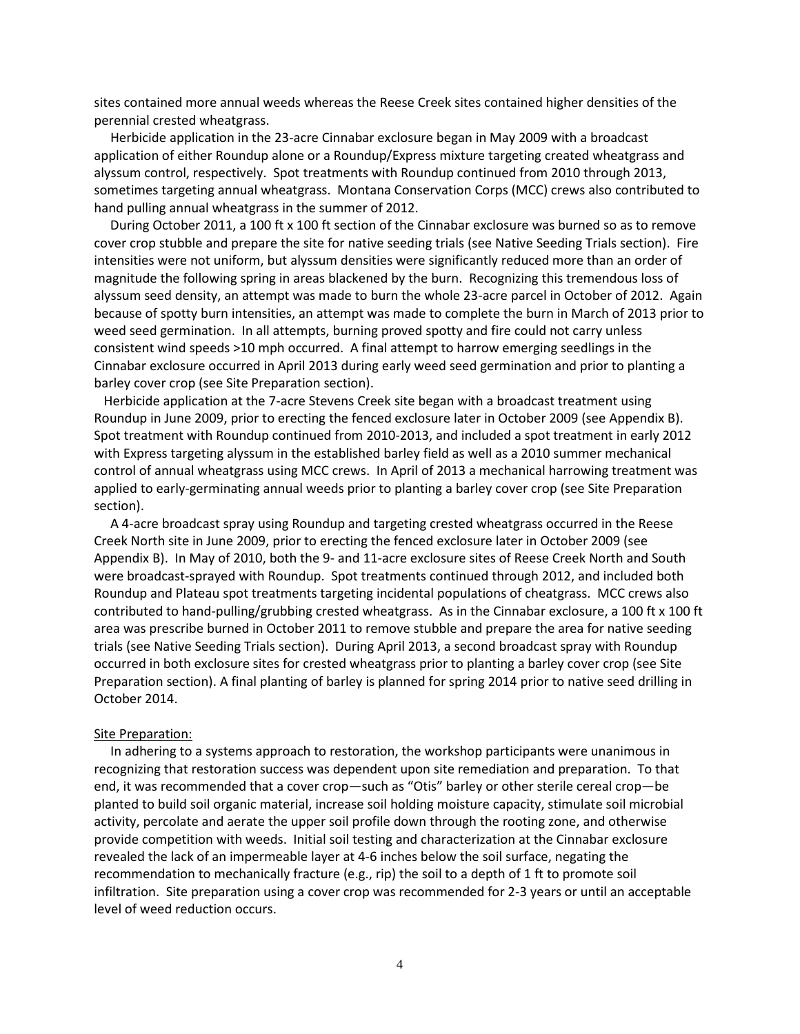sites contained more annual weeds whereas the Reese Creek sites contained higher densities of the perennial crested wheatgrass.

 Herbicide application in the 23-acre Cinnabar exclosure began in May 2009 with a broadcast application of either Roundup alone or a Roundup/Express mixture targeting created wheatgrass and alyssum control, respectively. Spot treatments with Roundup continued from 2010 through 2013, sometimes targeting annual wheatgrass. Montana Conservation Corps (MCC) crews also contributed to hand pulling annual wheatgrass in the summer of 2012.

 During October 2011, a 100 ft x 100 ft section of the Cinnabar exclosure was burned so as to remove cover crop stubble and prepare the site for native seeding trials (see Native Seeding Trials section). Fire intensities were not uniform, but alyssum densities were significantly reduced more than an order of magnitude the following spring in areas blackened by the burn. Recognizing this tremendous loss of alyssum seed density, an attempt was made to burn the whole 23-acre parcel in October of 2012. Again because of spotty burn intensities, an attempt was made to complete the burn in March of 2013 prior to weed seed germination. In all attempts, burning proved spotty and fire could not carry unless consistent wind speeds >10 mph occurred. A final attempt to harrow emerging seedlings in the Cinnabar exclosure occurred in April 2013 during early weed seed germination and prior to planting a barley cover crop (see Site Preparation section).

 Herbicide application at the 7-acre Stevens Creek site began with a broadcast treatment using Roundup in June 2009, prior to erecting the fenced exclosure later in October 2009 (see Appendix B). Spot treatment with Roundup continued from 2010-2013, and included a spot treatment in early 2012 with Express targeting alyssum in the established barley field as well as a 2010 summer mechanical control of annual wheatgrass using MCC crews. In April of 2013 a mechanical harrowing treatment was applied to early-germinating annual weeds prior to planting a barley cover crop (see Site Preparation section).

 A 4-acre broadcast spray using Roundup and targeting crested wheatgrass occurred in the Reese Creek North site in June 2009, prior to erecting the fenced exclosure later in October 2009 (see Appendix B). In May of 2010, both the 9- and 11-acre exclosure sites of Reese Creek North and South were broadcast-sprayed with Roundup. Spot treatments continued through 2012, and included both Roundup and Plateau spot treatments targeting incidental populations of cheatgrass. MCC crews also contributed to hand-pulling/grubbing crested wheatgrass. As in the Cinnabar exclosure, a 100 ft x 100 ft area was prescribe burned in October 2011 to remove stubble and prepare the area for native seeding trials (see Native Seeding Trials section). During April 2013, a second broadcast spray with Roundup occurred in both exclosure sites for crested wheatgrass prior to planting a barley cover crop (see Site Preparation section). A final planting of barley is planned for spring 2014 prior to native seed drilling in October 2014.

#### Site Preparation:

 In adhering to a systems approach to restoration, the workshop participants were unanimous in recognizing that restoration success was dependent upon site remediation and preparation. To that end, it was recommended that a cover crop—such as "Otis" barley or other sterile cereal crop—be planted to build soil organic material, increase soil holding moisture capacity, stimulate soil microbial activity, percolate and aerate the upper soil profile down through the rooting zone, and otherwise provide competition with weeds. Initial soil testing and characterization at the Cinnabar exclosure revealed the lack of an impermeable layer at 4-6 inches below the soil surface, negating the recommendation to mechanically fracture (e.g., rip) the soil to a depth of 1 ft to promote soil infiltration. Site preparation using a cover crop was recommended for 2-3 years or until an acceptable level of weed reduction occurs.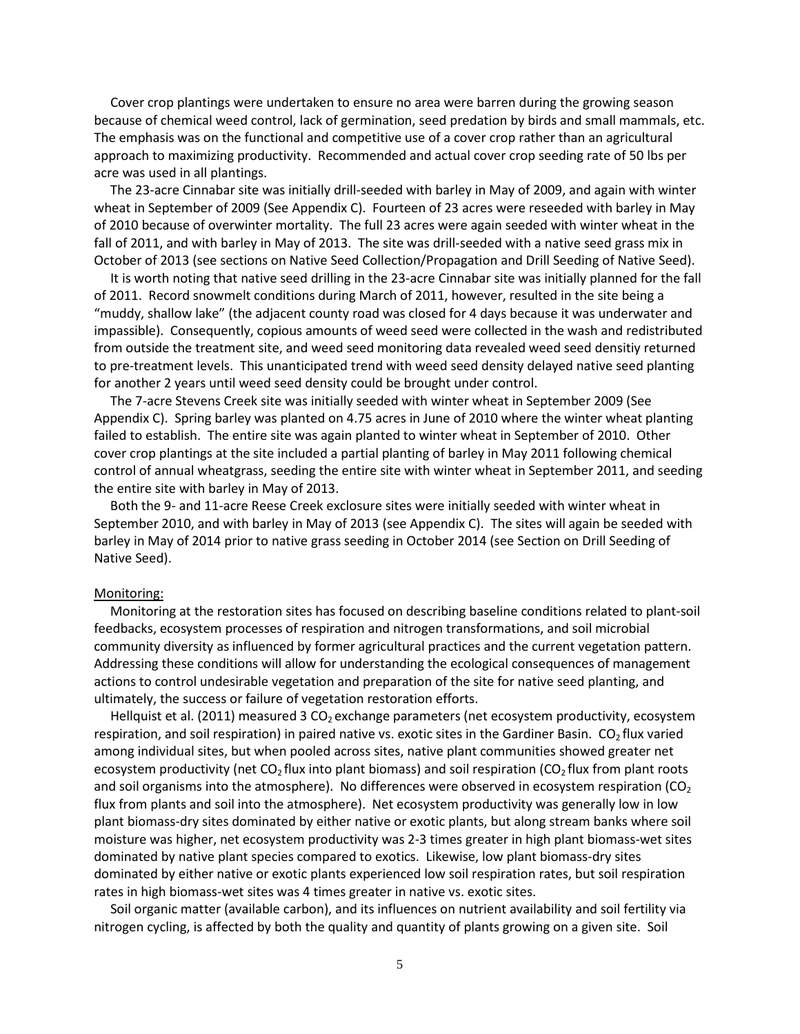Cover crop plantings were undertaken to ensure no area were barren during the growing season because of chemical weed control, lack of germination, seed predation by birds and small mammals, etc. The emphasis was on the functional and competitive use of a cover crop rather than an agricultural approach to maximizing productivity. Recommended and actual cover crop seeding rate of 50 lbs per acre was used in all plantings.

 The 23-acre Cinnabar site was initially drill-seeded with barley in May of 2009, and again with winter wheat in September of 2009 (See Appendix C). Fourteen of 23 acres were reseeded with barley in May of 2010 because of overwinter mortality. The full 23 acres were again seeded with winter wheat in the fall of 2011, and with barley in May of 2013. The site was drill-seeded with a native seed grass mix in October of 2013 (see sections on Native Seed Collection/Propagation and Drill Seeding of Native Seed).

 It is worth noting that native seed drilling in the 23-acre Cinnabar site was initially planned for the fall of 2011. Record snowmelt conditions during March of 2011, however, resulted in the site being a "muddy, shallow lake" (the adjacent county road was closed for 4 days because it was underwater and impassible). Consequently, copious amounts of weed seed were collected in the wash and redistributed from outside the treatment site, and weed seed monitoring data revealed weed seed densitiy returned to pre-treatment levels. This unanticipated trend with weed seed density delayed native seed planting for another 2 years until weed seed density could be brought under control.

 The 7-acre Stevens Creek site was initially seeded with winter wheat in September 2009 (See Appendix C). Spring barley was planted on 4.75 acres in June of 2010 where the winter wheat planting failed to establish. The entire site was again planted to winter wheat in September of 2010. Other cover crop plantings at the site included a partial planting of barley in May 2011 following chemical control of annual wheatgrass, seeding the entire site with winter wheat in September 2011, and seeding the entire site with barley in May of 2013.

 Both the 9- and 11-acre Reese Creek exclosure sites were initially seeded with winter wheat in September 2010, and with barley in May of 2013 (see Appendix C). The sites will again be seeded with barley in May of 2014 prior to native grass seeding in October 2014 (see Section on Drill Seeding of Native Seed).

#### Monitoring:

 Monitoring at the restoration sites has focused on describing baseline conditions related to plant-soil feedbacks, ecosystem processes of respiration and nitrogen transformations, and soil microbial community diversity as influenced by former agricultural practices and the current vegetation pattern. Addressing these conditions will allow for understanding the ecological consequences of management actions to control undesirable vegetation and preparation of the site for native seed planting, and ultimately, the success or failure of vegetation restoration efforts.

Hellquist et al. (2011) measured 3  $CO<sub>2</sub>$  exchange parameters (net ecosystem productivity, ecosystem respiration, and soil respiration) in paired native vs. exotic sites in the Gardiner Basin.  $CO<sub>2</sub>$  flux varied among individual sites, but when pooled across sites, native plant communities showed greater net ecosystem productivity (net  $CO<sub>2</sub>$  flux into plant biomass) and soil respiration ( $CO<sub>2</sub>$  flux from plant roots and soil organisms into the atmosphere). No differences were observed in ecosystem respiration ( $CO<sub>2</sub>$ flux from plants and soil into the atmosphere). Net ecosystem productivity was generally low in low plant biomass-dry sites dominated by either native or exotic plants, but along stream banks where soil moisture was higher, net ecosystem productivity was 2-3 times greater in high plant biomass-wet sites dominated by native plant species compared to exotics. Likewise, low plant biomass-dry sites dominated by either native or exotic plants experienced low soil respiration rates, but soil respiration rates in high biomass-wet sites was 4 times greater in native vs. exotic sites.

 Soil organic matter (available carbon), and its influences on nutrient availability and soil fertility via nitrogen cycling, is affected by both the quality and quantity of plants growing on a given site. Soil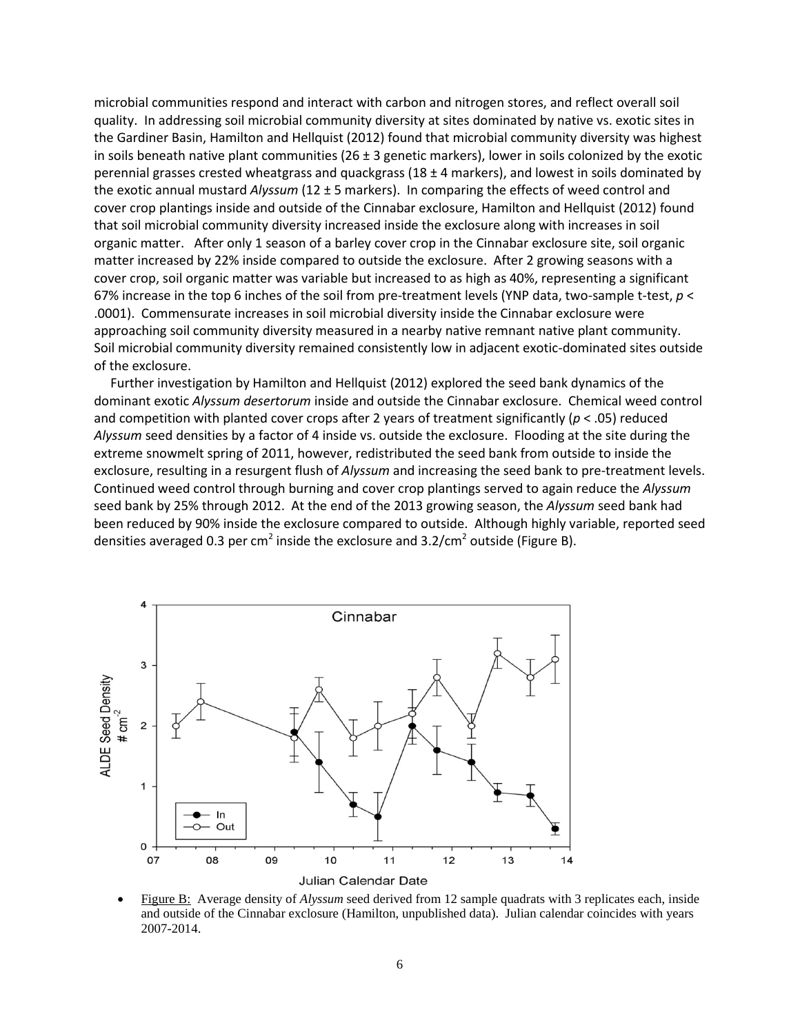microbial communities respond and interact with carbon and nitrogen stores, and reflect overall soil quality. In addressing soil microbial community diversity at sites dominated by native vs. exotic sites in the Gardiner Basin, Hamilton and Hellquist (2012) found that microbial community diversity was highest in soils beneath native plant communities (26  $\pm$  3 genetic markers), lower in soils colonized by the exotic perennial grasses crested wheatgrass and quackgrass ( $18 \pm 4$  markers), and lowest in soils dominated by the exotic annual mustard *Alyssum* (12 ± 5 markers). In comparing the effects of weed control and cover crop plantings inside and outside of the Cinnabar exclosure, Hamilton and Hellquist (2012) found that soil microbial community diversity increased inside the exclosure along with increases in soil organic matter. After only 1 season of a barley cover crop in the Cinnabar exclosure site, soil organic matter increased by 22% inside compared to outside the exclosure. After 2 growing seasons with a cover crop, soil organic matter was variable but increased to as high as 40%, representing a significant 67% increase in the top 6 inches of the soil from pre-treatment levels (YNP data, two-sample t-test, *p* < .0001). Commensurate increases in soil microbial diversity inside the Cinnabar exclosure were approaching soil community diversity measured in a nearby native remnant native plant community. Soil microbial community diversity remained consistently low in adjacent exotic-dominated sites outside of the exclosure.

 Further investigation by Hamilton and Hellquist (2012) explored the seed bank dynamics of the dominant exotic *Alyssum desertorum* inside and outside the Cinnabar exclosure.Chemical weed control and competition with planted cover crops after 2 years of treatment significantly (*p* < .05) reduced *Alyssum* seed densities by a factor of 4 inside vs. outside the exclosure. Flooding at the site during the extreme snowmelt spring of 2011, however, redistributed the seed bank from outside to inside the exclosure, resulting in a resurgent flush of *Alyssum* and increasing the seed bank to pre-treatment levels. Continued weed control through burning and cover crop plantings served to again reduce the *Alyssum*  seed bank by 25% through 2012. At the end of the 2013 growing season, the *Alyssum* seed bank had been reduced by 90% inside the exclosure compared to outside. Although highly variable, reported seed densities averaged 0.3 per cm<sup>2</sup> inside the exclosure and  $3.2/cm<sup>2</sup>$  outside (Figure B).



• Figure B: Average density of *Alyssum* seed derived from 12 sample quadrats with 3 replicates each, inside and outside of the Cinnabar exclosure (Hamilton, unpublished data). Julian calendar coincides with years 2007-2014.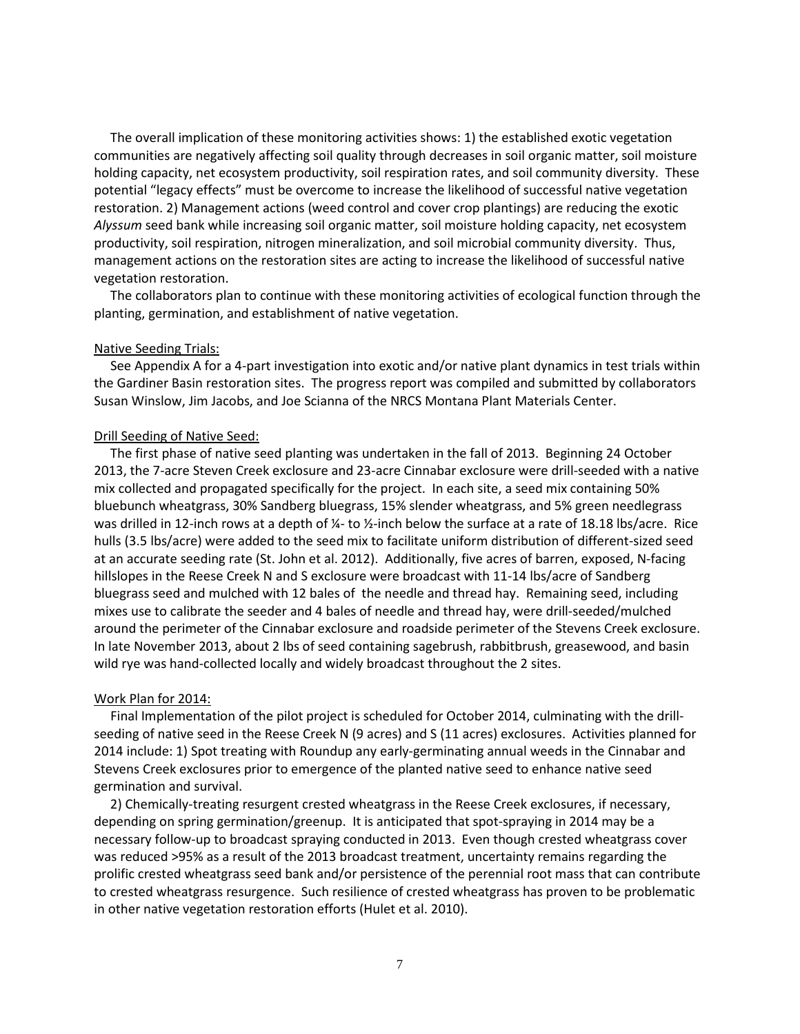The overall implication of these monitoring activities shows: 1) the established exotic vegetation communities are negatively affecting soil quality through decreases in soil organic matter, soil moisture holding capacity, net ecosystem productivity, soil respiration rates, and soil community diversity. These potential "legacy effects" must be overcome to increase the likelihood of successful native vegetation restoration. 2) Management actions (weed control and cover crop plantings) are reducing the exotic *Alyssum* seed bank while increasing soil organic matter, soil moisture holding capacity, net ecosystem productivity, soil respiration, nitrogen mineralization, and soil microbial community diversity. Thus, management actions on the restoration sites are acting to increase the likelihood of successful native vegetation restoration.

 The collaborators plan to continue with these monitoring activities of ecological function through the planting, germination, and establishment of native vegetation.

#### Native Seeding Trials:

 See Appendix A for a 4-part investigation into exotic and/or native plant dynamics in test trials within the Gardiner Basin restoration sites. The progress report was compiled and submitted by collaborators Susan Winslow, Jim Jacobs, and Joe Scianna of the NRCS Montana Plant Materials Center.

#### Drill Seeding of Native Seed:

 The first phase of native seed planting was undertaken in the fall of 2013. Beginning 24 October 2013, the 7-acre Steven Creek exclosure and 23-acre Cinnabar exclosure were drill-seeded with a native mix collected and propagated specifically for the project. In each site, a seed mix containing 50% bluebunch wheatgrass, 30% Sandberg bluegrass, 15% slender wheatgrass, and 5% green needlegrass was drilled in 12-inch rows at a depth of  $\frac{1}{4}$ - to  $\frac{1}{2}$ -inch below the surface at a rate of 18.18 lbs/acre. Rice hulls (3.5 lbs/acre) were added to the seed mix to facilitate uniform distribution of different-sized seed at an accurate seeding rate (St. John et al. 2012). Additionally, five acres of barren, exposed, N-facing hillslopes in the Reese Creek N and S exclosure were broadcast with 11-14 lbs/acre of Sandberg bluegrass seed and mulched with 12 bales of the needle and thread hay. Remaining seed, including mixes use to calibrate the seeder and 4 bales of needle and thread hay, were drill-seeded/mulched around the perimeter of the Cinnabar exclosure and roadside perimeter of the Stevens Creek exclosure. In late November 2013, about 2 lbs of seed containing sagebrush, rabbitbrush, greasewood, and basin wild rye was hand-collected locally and widely broadcast throughout the 2 sites.

#### Work Plan for 2014:

 Final Implementation of the pilot project is scheduled for October 2014, culminating with the drillseeding of native seed in the Reese Creek N (9 acres) and S (11 acres) exclosures. Activities planned for 2014 include: 1) Spot treating with Roundup any early-germinating annual weeds in the Cinnabar and Stevens Creek exclosures prior to emergence of the planted native seed to enhance native seed germination and survival.

 2) Chemically-treating resurgent crested wheatgrass in the Reese Creek exclosures, if necessary, depending on spring germination/greenup. It is anticipated that spot-spraying in 2014 may be a necessary follow-up to broadcast spraying conducted in 2013. Even though crested wheatgrass cover was reduced >95% as a result of the 2013 broadcast treatment, uncertainty remains regarding the prolific crested wheatgrass seed bank and/or persistence of the perennial root mass that can contribute to crested wheatgrass resurgence. Such resilience of crested wheatgrass has proven to be problematic in other native vegetation restoration efforts (Hulet et al. 2010).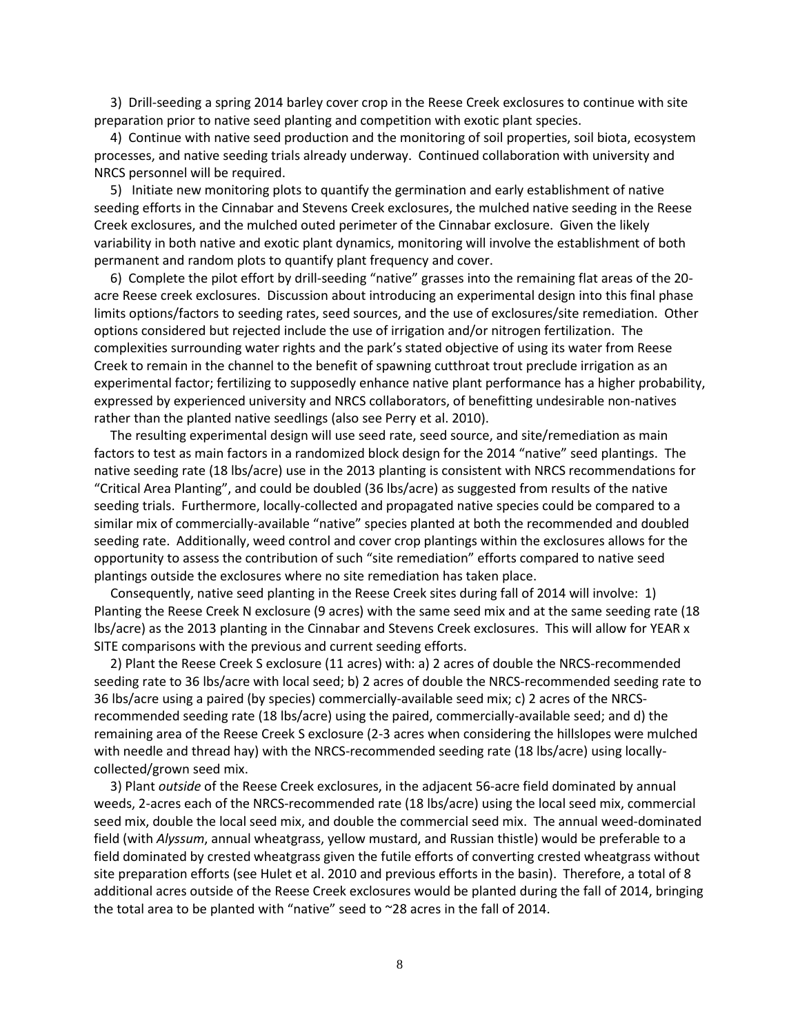3) Drill-seeding a spring 2014 barley cover crop in the Reese Creek exclosures to continue with site preparation prior to native seed planting and competition with exotic plant species.

 4) Continue with native seed production and the monitoring of soil properties, soil biota, ecosystem processes, and native seeding trials already underway. Continued collaboration with university and NRCS personnel will be required.

 5) Initiate new monitoring plots to quantify the germination and early establishment of native seeding efforts in the Cinnabar and Stevens Creek exclosures, the mulched native seeding in the Reese Creek exclosures, and the mulched outed perimeter of the Cinnabar exclosure. Given the likely variability in both native and exotic plant dynamics, monitoring will involve the establishment of both permanent and random plots to quantify plant frequency and cover.

 6) Complete the pilot effort by drill-seeding "native" grasses into the remaining flat areas of the 20 acre Reese creek exclosures. Discussion about introducing an experimental design into this final phase limits options/factors to seeding rates, seed sources, and the use of exclosures/site remediation. Other options considered but rejected include the use of irrigation and/or nitrogen fertilization. The complexities surrounding water rights and the park's stated objective of using its water from Reese Creek to remain in the channel to the benefit of spawning cutthroat trout preclude irrigation as an experimental factor; fertilizing to supposedly enhance native plant performance has a higher probability, expressed by experienced university and NRCS collaborators, of benefitting undesirable non-natives rather than the planted native seedlings (also see Perry et al. 2010).

 The resulting experimental design will use seed rate, seed source, and site/remediation as main factors to test as main factors in a randomized block design for the 2014 "native" seed plantings. The native seeding rate (18 lbs/acre) use in the 2013 planting is consistent with NRCS recommendations for "Critical Area Planting", and could be doubled (36 lbs/acre) as suggested from results of the native seeding trials. Furthermore, locally-collected and propagated native species could be compared to a similar mix of commercially-available "native" species planted at both the recommended and doubled seeding rate. Additionally, weed control and cover crop plantings within the exclosures allows for the opportunity to assess the contribution of such "site remediation" efforts compared to native seed plantings outside the exclosures where no site remediation has taken place.

 Consequently, native seed planting in the Reese Creek sites during fall of 2014 will involve: 1) Planting the Reese Creek N exclosure (9 acres) with the same seed mix and at the same seeding rate (18 lbs/acre) as the 2013 planting in the Cinnabar and Stevens Creek exclosures. This will allow for YEAR x SITE comparisons with the previous and current seeding efforts.

 2) Plant the Reese Creek S exclosure (11 acres) with: a) 2 acres of double the NRCS-recommended seeding rate to 36 lbs/acre with local seed; b) 2 acres of double the NRCS-recommended seeding rate to 36 lbs/acre using a paired (by species) commercially-available seed mix; c) 2 acres of the NRCSrecommended seeding rate (18 lbs/acre) using the paired, commercially-available seed; and d) the remaining area of the Reese Creek S exclosure (2-3 acres when considering the hillslopes were mulched with needle and thread hay) with the NRCS-recommended seeding rate (18 lbs/acre) using locallycollected/grown seed mix.

 3) Plant *outside* of the Reese Creek exclosures, in the adjacent 56-acre field dominated by annual weeds, 2-acres each of the NRCS-recommended rate (18 lbs/acre) using the local seed mix, commercial seed mix, double the local seed mix, and double the commercial seed mix. The annual weed-dominated field (with *Alyssum*, annual wheatgrass, yellow mustard, and Russian thistle) would be preferable to a field dominated by crested wheatgrass given the futile efforts of converting crested wheatgrass without site preparation efforts (see Hulet et al. 2010 and previous efforts in the basin). Therefore, a total of 8 additional acres outside of the Reese Creek exclosures would be planted during the fall of 2014, bringing the total area to be planted with "native" seed to ~28 acres in the fall of 2014.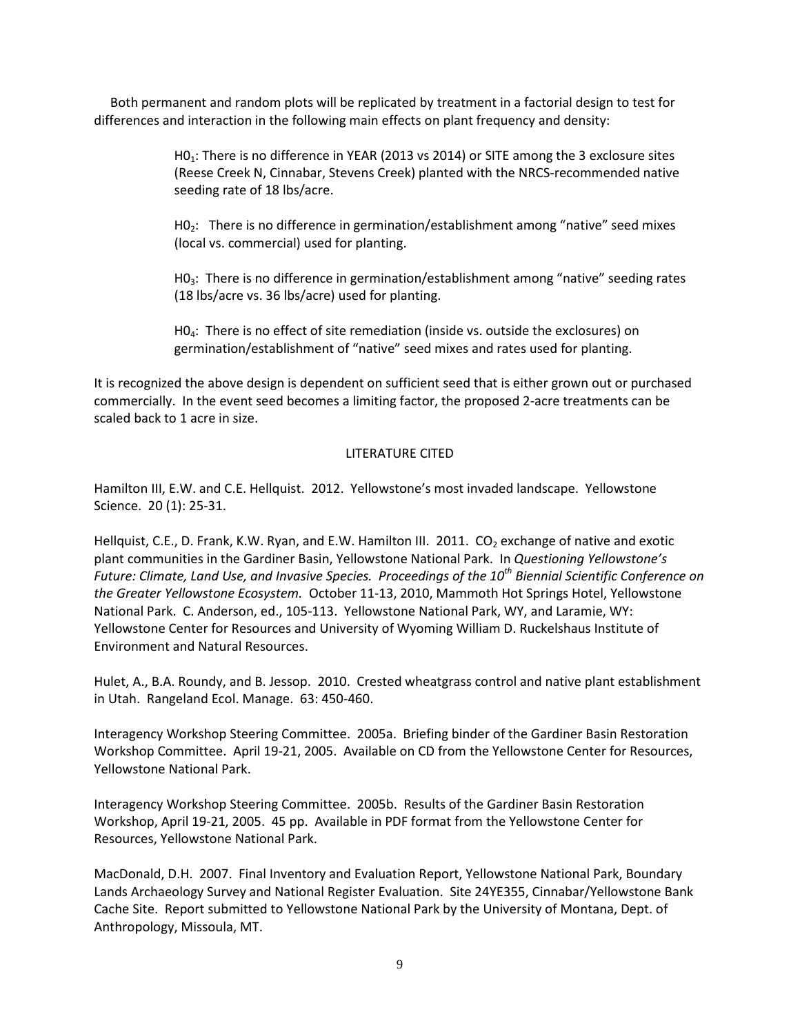Both permanent and random plots will be replicated by treatment in a factorial design to test for differences and interaction in the following main effects on plant frequency and density:

> $H0<sub>1</sub>$ : There is no difference in YEAR (2013 vs 2014) or SITE among the 3 exclosure sites (Reese Creek N, Cinnabar, Stevens Creek) planted with the NRCS-recommended native seeding rate of 18 lbs/acre.

> H0<sub>2</sub>: There is no difference in germination/establishment among "native" seed mixes (local vs. commercial) used for planting.

HO<sub>3</sub>: There is no difference in germination/establishment among "native" seeding rates (18 lbs/acre vs. 36 lbs/acre) used for planting.

H04: There is no effect of site remediation (inside vs. outside the exclosures) on germination/establishment of "native" seed mixes and rates used for planting.

It is recognized the above design is dependent on sufficient seed that is either grown out or purchased commercially. In the event seed becomes a limiting factor, the proposed 2-acre treatments can be scaled back to 1 acre in size.

## LITERATURE CITED

Hamilton III, E.W. and C.E. Hellquist. 2012. Yellowstone's most invaded landscape. Yellowstone Science. 20 (1): 25-31.

Hellquist, C.E., D. Frank, K.W. Ryan, and E.W. Hamilton III. 2011. CO<sub>2</sub> exchange of native and exotic plant communities in the Gardiner Basin, Yellowstone National Park. In *Questioning Yellowstone's Future: Climate, Land Use, and Invasive Species. Proceedings of the 10th Biennial Scientific Conference on the Greater Yellowstone Ecosystem.* October 11-13, 2010, Mammoth Hot Springs Hotel, Yellowstone National Park. C. Anderson, ed., 105-113. Yellowstone National Park, WY, and Laramie, WY: Yellowstone Center for Resources and University of Wyoming William D. Ruckelshaus Institute of Environment and Natural Resources.

Hulet, A., B.A. Roundy, and B. Jessop. 2010. Crested wheatgrass control and native plant establishment in Utah. Rangeland Ecol. Manage. 63: 450-460.

Interagency Workshop Steering Committee. 2005a. Briefing binder of the Gardiner Basin Restoration Workshop Committee. April 19-21, 2005. Available on CD from the Yellowstone Center for Resources, Yellowstone National Park.

Interagency Workshop Steering Committee. 2005b. Results of the Gardiner Basin Restoration Workshop, April 19-21, 2005. 45 pp. Available in PDF format from the Yellowstone Center for Resources, Yellowstone National Park.

MacDonald, D.H. 2007. Final Inventory and Evaluation Report, Yellowstone National Park, Boundary Lands Archaeology Survey and National Register Evaluation. Site 24YE355, Cinnabar/Yellowstone Bank Cache Site. Report submitted to Yellowstone National Park by the University of Montana, Dept. of Anthropology, Missoula, MT.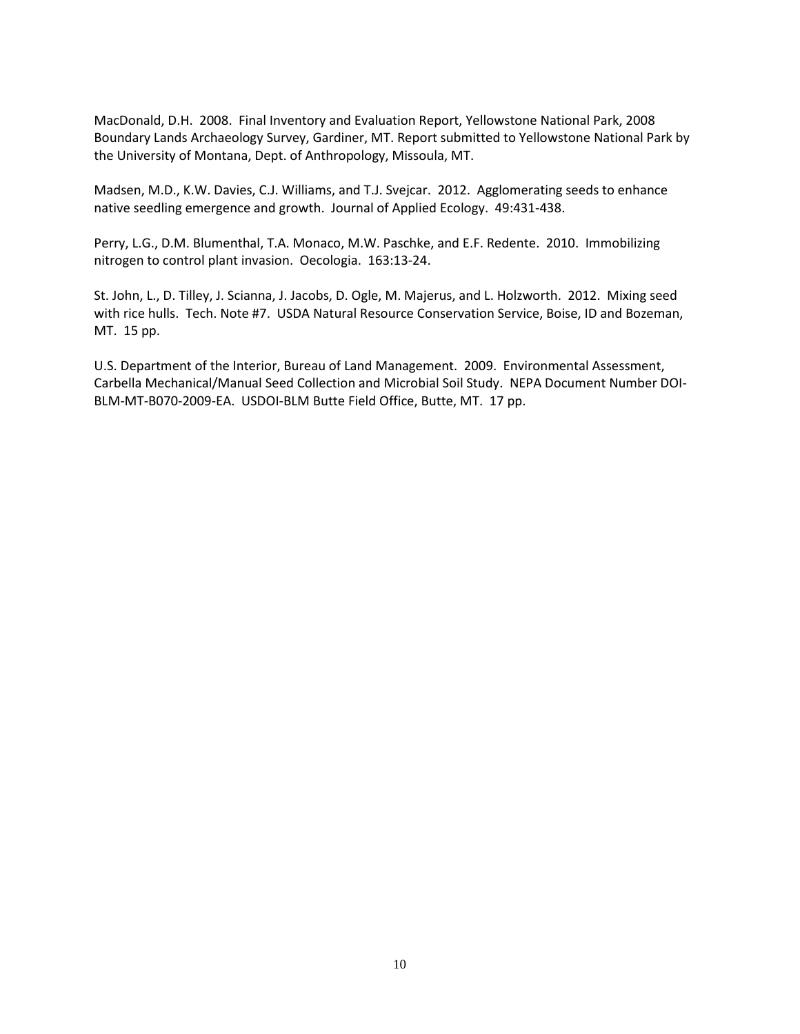MacDonald, D.H. 2008. Final Inventory and Evaluation Report, Yellowstone National Park, 2008 Boundary Lands Archaeology Survey, Gardiner, MT. Report submitted to Yellowstone National Park by the University of Montana, Dept. of Anthropology, Missoula, MT.

Madsen, M.D., K.W. Davies, C.J. Williams, and T.J. Svejcar. 2012. Agglomerating seeds to enhance native seedling emergence and growth. Journal of Applied Ecology. 49:431-438.

Perry, L.G., D.M. Blumenthal, T.A. Monaco, M.W. Paschke, and E.F. Redente. 2010. Immobilizing nitrogen to control plant invasion. Oecologia. 163:13-24.

St. John, L., D. Tilley, J. Scianna, J. Jacobs, D. Ogle, M. Majerus, and L. Holzworth. 2012. Mixing seed with rice hulls. Tech. Note #7. USDA Natural Resource Conservation Service, Boise, ID and Bozeman, MT. 15 pp.

U.S. Department of the Interior, Bureau of Land Management. 2009. Environmental Assessment, Carbella Mechanical/Manual Seed Collection and Microbial Soil Study. NEPA Document Number DOI-BLM-MT-B070-2009-EA. USDOI-BLM Butte Field Office, Butte, MT. 17 pp.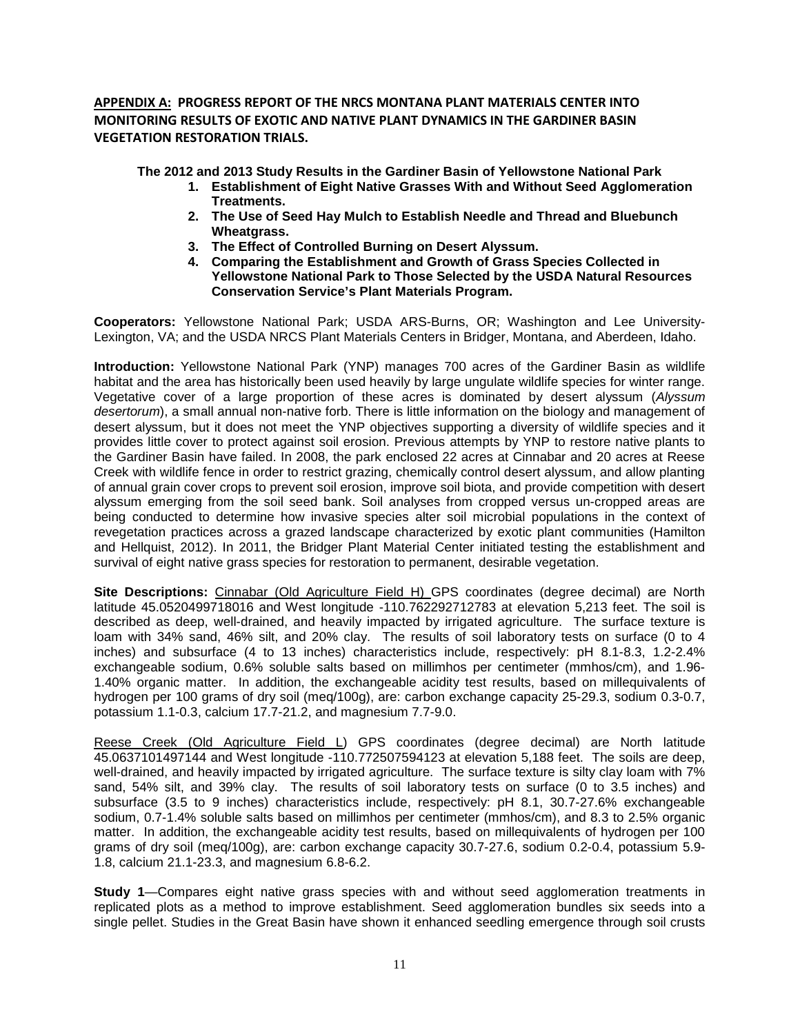**APPENDIX A: PROGRESS REPORT OF THE NRCS MONTANA PLANT MATERIALS CENTER INTO MONITORING RESULTS OF EXOTIC AND NATIVE PLANT DYNAMICS IN THE GARDINER BASIN VEGETATION RESTORATION TRIALS.**

**The 2012 and 2013 Study Results in the Gardiner Basin of Yellowstone National Park**

- **1. Establishment of Eight Native Grasses With and Without Seed Agglomeration Treatments.**
- **2. The Use of Seed Hay Mulch to Establish Needle and Thread and Bluebunch Wheatgrass.**
- **3. The Effect of Controlled Burning on Desert Alyssum.**
- **4. Comparing the Establishment and Growth of Grass Species Collected in Yellowstone National Park to Those Selected by the USDA Natural Resources Conservation Service's Plant Materials Program.**

**Cooperators:** Yellowstone National Park; USDA ARS-Burns, OR; Washington and Lee University-Lexington, VA; and the USDA NRCS Plant Materials Centers in Bridger, Montana, and Aberdeen, Idaho.

**Introduction:** Yellowstone National Park (YNP) manages 700 acres of the Gardiner Basin as wildlife habitat and the area has historically been used heavily by large ungulate wildlife species for winter range. Vegetative cover of a large proportion of these acres is dominated by desert alyssum (*Alyssum desertorum*), a small annual non-native forb. There is little information on the biology and management of desert alyssum, but it does not meet the YNP objectives supporting a diversity of wildlife species and it provides little cover to protect against soil erosion. Previous attempts by YNP to restore native plants to the Gardiner Basin have failed. In 2008, the park enclosed 22 acres at Cinnabar and 20 acres at Reese Creek with wildlife fence in order to restrict grazing, chemically control desert alyssum, and allow planting of annual grain cover crops to prevent soil erosion, improve soil biota, and provide competition with desert alyssum emerging from the soil seed bank. Soil analyses from cropped versus un-cropped areas are being conducted to determine how invasive species alter soil microbial populations in the context of revegetation practices across a grazed landscape characterized by exotic plant communities (Hamilton and Hellquist, 2012). In 2011, the Bridger Plant Material Center initiated testing the establishment and survival of eight native grass species for restoration to permanent, desirable vegetation.

**Site Descriptions:** Cinnabar (Old Agriculture Field H) GPS coordinates (degree decimal) are North latitude 45.0520499718016 and West longitude -110.762292712783 at elevation 5,213 feet. The soil is described as deep, well-drained, and heavily impacted by irrigated agriculture. The surface texture is loam with 34% sand, 46% silt, and 20% clay. The results of soil laboratory tests on surface (0 to 4 inches) and subsurface (4 to 13 inches) characteristics include, respectively: pH 8.1-8.3, 1.2-2.4% exchangeable sodium, 0.6% soluble salts based on millimhos per centimeter (mmhos/cm), and 1.96- 1.40% organic matter. In addition, the exchangeable acidity test results, based on millequivalents of hydrogen per 100 grams of dry soil (meq/100g), are: carbon exchange capacity 25-29.3, sodium 0.3-0.7, potassium 1.1-0.3, calcium 17.7-21.2, and magnesium 7.7-9.0.

Reese Creek (Old Agriculture Field L) GPS coordinates (degree decimal) are North latitude 45.0637101497144 and West longitude -110.772507594123 at elevation 5,188 feet. The soils are deep, well-drained, and heavily impacted by irrigated agriculture. The surface texture is silty clay loam with 7% sand, 54% silt, and 39% clay. The results of soil laboratory tests on surface (0 to 3.5 inches) and subsurface (3.5 to 9 inches) characteristics include, respectively: pH 8.1, 30.7-27.6% exchangeable sodium, 0.7-1.4% soluble salts based on millimhos per centimeter (mmhos/cm), and 8.3 to 2.5% organic matter. In addition, the exchangeable acidity test results, based on millequivalents of hydrogen per 100 grams of dry soil (meq/100g), are: carbon exchange capacity 30.7-27.6, sodium 0.2-0.4, potassium 5.9- 1.8, calcium 21.1-23.3, and magnesium 6.8-6.2.

**Study 1**—Compares eight native grass species with and without seed agglomeration treatments in replicated plots as a method to improve establishment. Seed agglomeration bundles six seeds into a single pellet. Studies in the Great Basin have shown it enhanced seedling emergence through soil crusts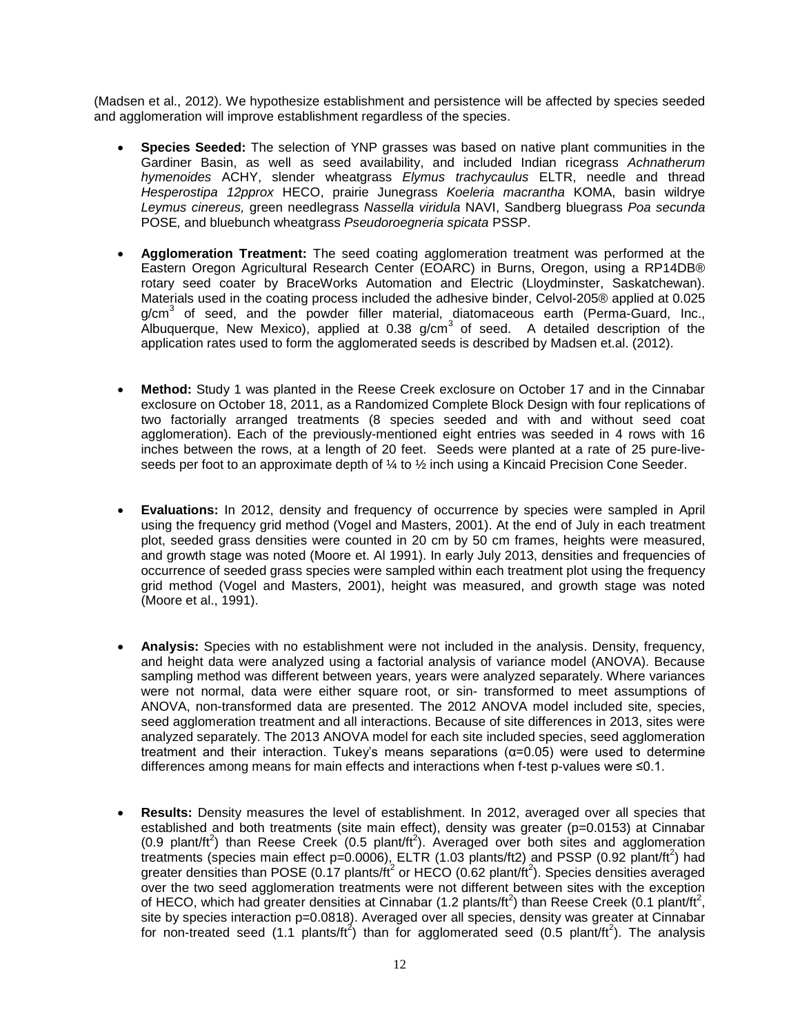(Madsen et al., 2012). We hypothesize establishment and persistence will be affected by species seeded and agglomeration will improve establishment regardless of the species.

- **Species Seeded:** The selection of YNP grasses was based on native plant communities in the Gardiner Basin, as well as seed availability, and included Indian ricegrass *Achnatherum hymenoides* ACHY, slender wheatgrass *Elymus trachycaulus* ELTR, needle and thread *Hesperostipa 12pprox* HECO, prairie Junegrass *Koeleria macrantha* KOMA, basin wildrye *Leymus cinereus,* green needlegrass *Nassella viridula* NAVI, Sandberg bluegrass *Poa secunda*  POSE*,* and bluebunch wheatgrass *Pseudoroegneria spicata* PSSP.
- **Agglomeration Treatment:** The seed coating agglomeration treatment was performed at the Eastern Oregon Agricultural Research Center (EOARC) in Burns, Oregon, using a RP14DB® rotary seed coater by BraceWorks Automation and Electric (Lloydminster, Saskatchewan). Materials used in the coating process included the adhesive binder, Celvol-205® applied at 0.025  $g/cm<sup>3</sup>$  of seed, and the powder filler material, diatomaceous earth (Perma-Guard, Inc., Albuquerque, New Mexico), applied at 0.38  $q/cm<sup>3</sup>$  of seed. A detailed description of the application rates used to form the agglomerated seeds is described by Madsen et.al. (2012).
- **Method:** Study 1 was planted in the Reese Creek exclosure on October 17 and in the Cinnabar exclosure on October 18, 2011, as a Randomized Complete Block Design with four replications of two factorially arranged treatments (8 species seeded and with and without seed coat agglomeration). Each of the previously-mentioned eight entries was seeded in 4 rows with 16 inches between the rows, at a length of 20 feet. Seeds were planted at a rate of 25 pure-liveseeds per foot to an approximate depth of  $\frac{1}{4}$  to  $\frac{1}{2}$  inch using a Kincaid Precision Cone Seeder.
- **Evaluations:** In 2012, density and frequency of occurrence by species were sampled in April using the frequency grid method (Vogel and Masters, 2001). At the end of July in each treatment plot, seeded grass densities were counted in 20 cm by 50 cm frames, heights were measured, and growth stage was noted (Moore et. Al 1991). In early July 2013, densities and frequencies of occurrence of seeded grass species were sampled within each treatment plot using the frequency grid method (Vogel and Masters, 2001), height was measured, and growth stage was noted (Moore et al., 1991).
- **Analysis:** Species with no establishment were not included in the analysis. Density, frequency, and height data were analyzed using a factorial analysis of variance model (ANOVA). Because sampling method was different between years, years were analyzed separately. Where variances were not normal, data were either square root, or sin- transformed to meet assumptions of ANOVA, non-transformed data are presented. The 2012 ANOVA model included site, species, seed agglomeration treatment and all interactions. Because of site differences in 2013, sites were analyzed separately. The 2013 ANOVA model for each site included species, seed agglomeration treatment and their interaction. Tukey's means separations  $(\alpha=0.05)$  were used to determine differences among means for main effects and interactions when f-test p-values were ≤0.1.
- **Results:** Density measures the level of establishment. In 2012, averaged over all species that established and both treatments (site main effect), density was greater (p=0.0153) at Cinnabar  $(0.9$  plant/ft<sup>2</sup>) than Reese Creek  $(0.5$  plant/ft<sup>2</sup>). Averaged over both sites and agglomeration treatments (species main effect  $p=0.0006$ ), ELTR (1.03 plants/ft2) and PSSP (0.92 plant/ft<sup>2</sup>) had greater densities than POSE (0.17 plants/ft<sup>2</sup> or HECO (0.62 plant/ft<sup>2</sup>). Species densities averaged over the two seed agglomeration treatments were not different between sites with the exception of HECO, which had greater densities at Cinnabar (1.2 plants/ft<sup>2</sup>) than Reese Creek (0.1 plant/ft<sup>2</sup>, site by species interaction p=0.0818). Averaged over all species, density was greater at Cinnabar for non-treated seed (1.1 plants/ft<sup>2</sup>) than for agglomerated seed (0.5 plant/ft<sup>2</sup>). The analysis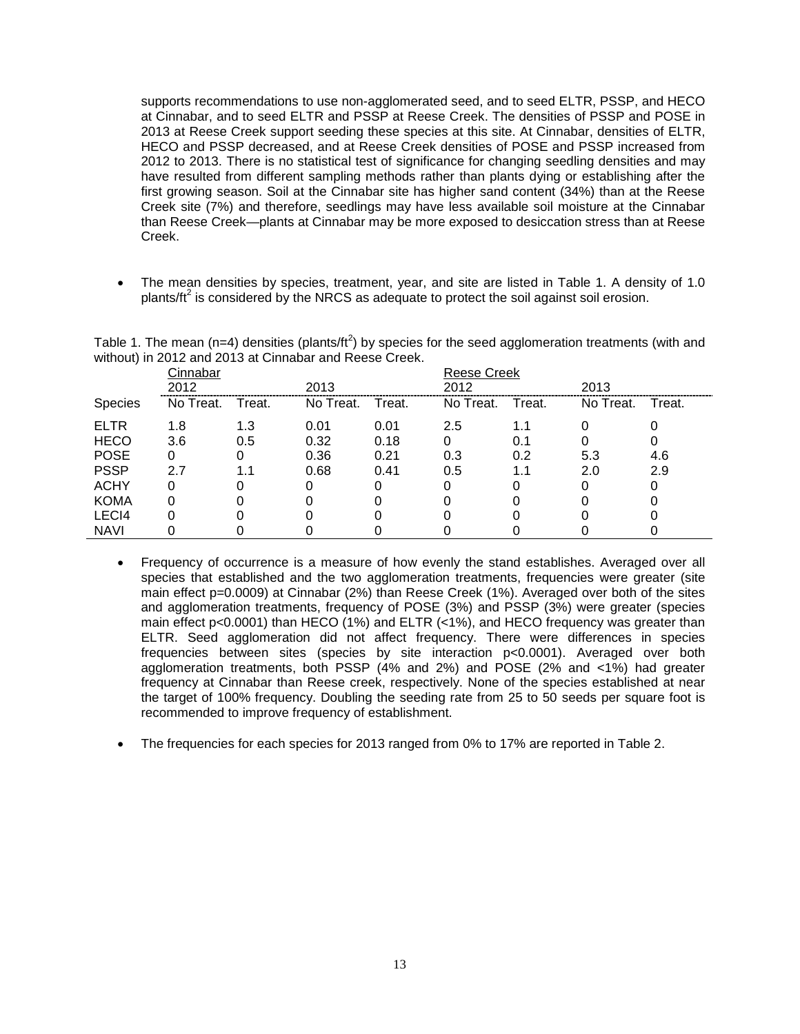supports recommendations to use non-agglomerated seed, and to seed ELTR, PSSP, and HECO at Cinnabar, and to seed ELTR and PSSP at Reese Creek. The densities of PSSP and POSE in 2013 at Reese Creek support seeding these species at this site. At Cinnabar, densities of ELTR, HECO and PSSP decreased, and at Reese Creek densities of POSE and PSSP increased from 2012 to 2013. There is no statistical test of significance for changing seedling densities and may have resulted from different sampling methods rather than plants dying or establishing after the first growing season. Soil at the Cinnabar site has higher sand content (34%) than at the Reese Creek site (7%) and therefore, seedlings may have less available soil moisture at the Cinnabar than Reese Creek—plants at Cinnabar may be more exposed to desiccation stress than at Reese Creek.

• The mean densities by species, treatment, year, and site are listed in Table 1. A density of 1.0 plants/ $ft^2$  is considered by the NRCS as adequate to protect the soil against soil erosion.

|                   | Cinnabar  |        |           |        | <b>Reese Creek</b> |        |           |        |
|-------------------|-----------|--------|-----------|--------|--------------------|--------|-----------|--------|
|                   | 2012      |        | 2013      |        | 2012               |        | 2013      |        |
| Species           | No Treat. | Treat. | No Treat. | Treat. | No Treat.          | Treat. | No Treat. | Treat. |
| <b>ELTR</b>       | 1.8       | 1.3    | 0.01      | 0.01   | 2.5                | 1.1    |           |        |
| <b>HECO</b>       | 3.6       | 0.5    | 0.32      | 0.18   |                    | 0.1    |           |        |
| <b>POSE</b>       |           |        | 0.36      | 0.21   | 0.3                | 0.2    | 5.3       | 4.6    |
| <b>PSSP</b>       | 2.7       | 1.1    | 0.68      | 0.41   | 0.5                | 1.1    | 2.0       | 2.9    |
| <b>ACHY</b>       |           |        | O         |        |                    |        |           | 0      |
| <b>KOMA</b>       |           |        |           |        |                    |        |           | 0      |
| LEC <sub>14</sub> |           |        |           |        |                    |        |           |        |
| <b>NAVI</b>       |           |        |           |        |                    |        |           |        |

Table 1. The mean (n=4) densities (plants/ft<sup>2</sup>) by species for the seed agglomeration treatments (with and without) in 2012 and 2013 at Cinnabar and Reese Creek.

- Frequency of occurrence is a measure of how evenly the stand establishes. Averaged over all species that established and the two agglomeration treatments, frequencies were greater (site main effect p=0.0009) at Cinnabar (2%) than Reese Creek (1%). Averaged over both of the sites and agglomeration treatments, frequency of POSE (3%) and PSSP (3%) were greater (species main effect  $p<0.0001$ ) than HECO (1%) and ELTR ( $<1%$ ), and HECO frequency was greater than ELTR. Seed agglomeration did not affect frequency. There were differences in species frequencies between sites (species by site interaction p<0.0001). Averaged over both agglomeration treatments, both PSSP (4% and 2%) and POSE (2% and <1%) had greater frequency at Cinnabar than Reese creek, respectively. None of the species established at near the target of 100% frequency. Doubling the seeding rate from 25 to 50 seeds per square foot is recommended to improve frequency of establishment.
- The frequencies for each species for 2013 ranged from 0% to 17% are reported in Table 2.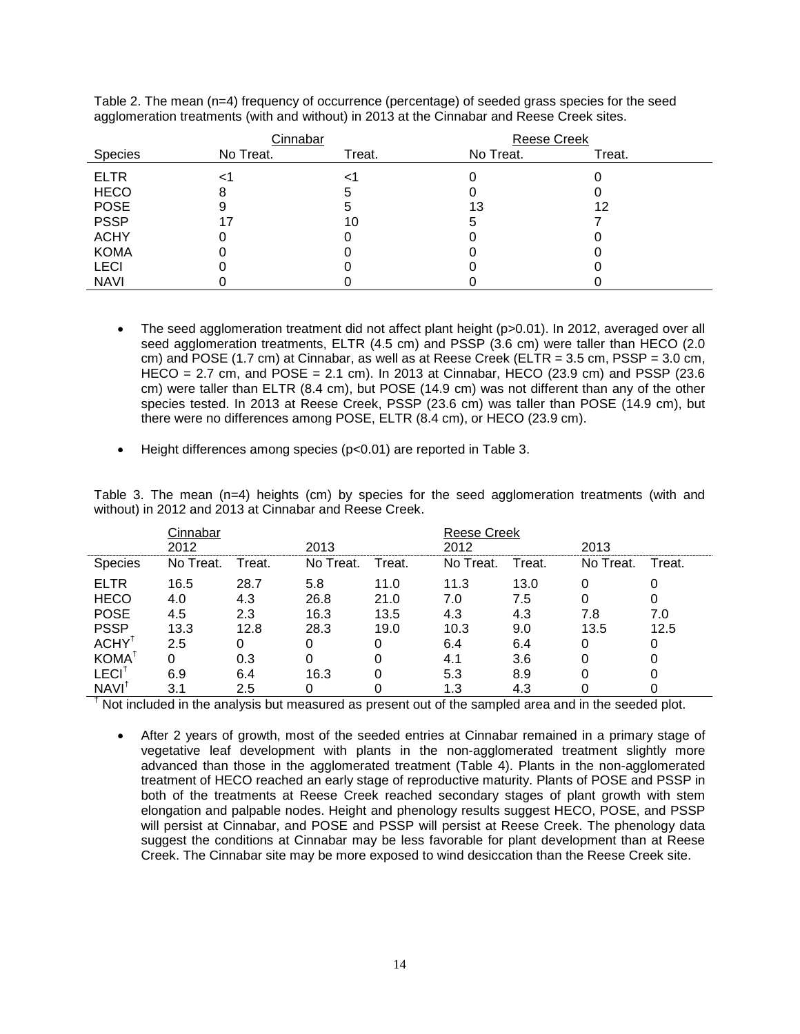|             | Cinnabar  |        | <b>Reese Creek</b> |        |
|-------------|-----------|--------|--------------------|--------|
| Species     | No Treat. | Treat. | No Treat.          | Treat. |
| <b>ELTR</b> |           |        |                    |        |
| <b>HECO</b> |           | 5      |                    |        |
| <b>POSE</b> |           | 5      | 13                 | 12     |
| <b>PSSP</b> |           | 10     | 5                  |        |
| <b>ACHY</b> |           |        |                    |        |
| <b>KOMA</b> |           |        |                    |        |
| <b>LECI</b> |           |        |                    |        |
| <b>NAVI</b> |           |        |                    |        |

Table 2. The mean (n=4) frequency of occurrence (percentage) of seeded grass species for the seed agglomeration treatments (with and without) in 2013 at the Cinnabar and Reese Creek sites.

- The seed agglomeration treatment did not affect plant height (p>0.01). In 2012, averaged over all seed agglomeration treatments, ELTR (4.5 cm) and PSSP (3.6 cm) were taller than HECO (2.0 cm) and POSE (1.7 cm) at Cinnabar, as well as at Reese Creek (ELTR = 3.5 cm, PSSP = 3.0 cm,  $HECO = 2.7$  cm, and POSE = 2.1 cm). In 2013 at Cinnabar, HECO (23.9 cm) and PSSP (23.6 cm) were taller than ELTR (8.4 cm), but POSE (14.9 cm) was not different than any of the other species tested. In 2013 at Reese Creek, PSSP (23.6 cm) was taller than POSE (14.9 cm), but there were no differences among POSE, ELTR (8.4 cm), or HECO (23.9 cm).
- Height differences among species (p<0.01) are reported in Table 3.

Table 3. The mean (n=4) heights (cm) by species for the seed agglomeration treatments (with and without) in 2012 and 2013 at Cinnabar and Reese Creek.

|                     | Cinnabar  |        |           |        | <b>Reese Creek</b> |        |           |        |
|---------------------|-----------|--------|-----------|--------|--------------------|--------|-----------|--------|
|                     | 2012      |        | 2013      |        | 2012               |        | 2013      |        |
| <b>Species</b>      | No Treat. | Treat. | No Treat. | Treat. | No Treat.          | Treat. | No Treat. | Treat. |
| <b>ELTR</b>         | 16.5      | 28.7   | 5.8       | 11.0   | 11.3               | 13.0   |           |        |
| <b>HECO</b>         | 4.0       | 4.3    | 26.8      | 21.0   | 7.0                | 7.5    |           |        |
| <b>POSE</b>         | 4.5       | 2.3    | 16.3      | 13.5   | 4.3                | 4.3    | 7.8       | 7.0    |
| <b>PSSP</b>         | 13.3      | 12.8   | 28.3      | 19.0   | 10.3               | 9.0    | 13.5      | 12.5   |
| $ACHY$ <sup>†</sup> | 2.5       | 0      | 0         | 0      | 6.4                | 6.4    | 0         |        |
| <b>KOMA</b>         |           | 0.3    | 0         |        | 4.1                | 3.6    |           |        |
| LECI <sup>1</sup>   | 6.9       | 6.4    | 16.3      |        | 5.3                | 8.9    |           |        |
| <b>NAVI</b>         | 3.1       | 2.5    | 0         |        | 1.3                | 4.3    |           |        |

 $<sup>†</sup>$  Not included in the analysis but measured as present out of the sampled area and in the seeded plot.</sup>

• After 2 years of growth, most of the seeded entries at Cinnabar remained in a primary stage of vegetative leaf development with plants in the non-agglomerated treatment slightly more advanced than those in the agglomerated treatment (Table 4). Plants in the non-agglomerated treatment of HECO reached an early stage of reproductive maturity. Plants of POSE and PSSP in both of the treatments at Reese Creek reached secondary stages of plant growth with stem elongation and palpable nodes. Height and phenology results suggest HECO, POSE, and PSSP will persist at Cinnabar, and POSE and PSSP will persist at Reese Creek. The phenology data suggest the conditions at Cinnabar may be less favorable for plant development than at Reese Creek. The Cinnabar site may be more exposed to wind desiccation than the Reese Creek site.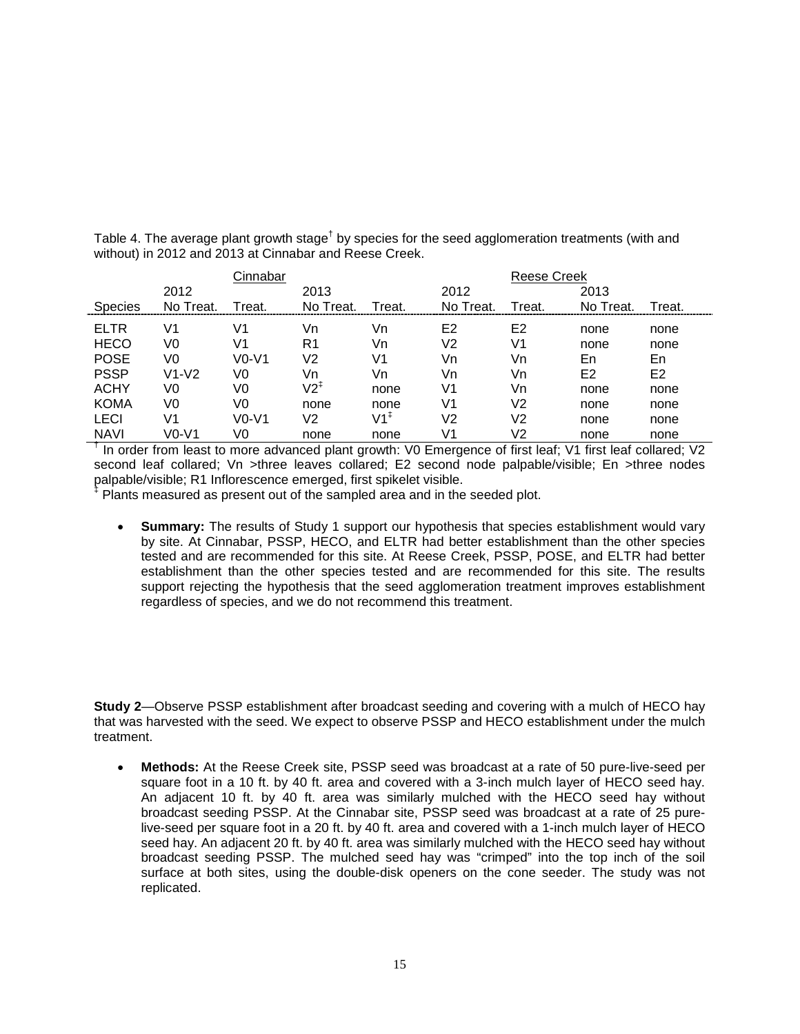|                |           | Cinnabar |             |                 |                |                | Reese Creek    |                |  |
|----------------|-----------|----------|-------------|-----------------|----------------|----------------|----------------|----------------|--|
|                | 2012      |          | 2013        |                 | 2012           |                | 2013           |                |  |
| <b>Species</b> | No Treat. | Treat.   | No Treat.   | Treat.          | No Treat       | Treat.         | No Treat.      | Treat.         |  |
| <b>ELTR</b>    | V1        | V1       | Vn          | Vn              | E <sub>2</sub> | E <sub>2</sub> | none           | none           |  |
| <b>HECO</b>    | V0        | V1       | R1          | Vn              | V2             | V1             | none           | none           |  |
| <b>POSE</b>    | V0        | $V0-V1$  | V2          | V1              | Vn             | Vn             | En             | En             |  |
| <b>PSSP</b>    | $V1-V2$   | V0       | Vn          | Vn              | Vn             | Vn             | E <sub>2</sub> | E <sub>2</sub> |  |
| <b>ACHY</b>    | V0        | V0       | V2 $^\ddag$ | none            | V1             | Vn             | none           | none           |  |
| <b>KOMA</b>    | V0        | V0       | none        | none            | V1             | V2             | none           | none           |  |
| <b>LECI</b>    | V1        | $V0-V1$  | V2          | $V1^{\ddagger}$ | V2             | V2             | none           | none           |  |
| <b>NAVI</b>    | $V0-V1$   | V0       | none        | none            | V1             | V2             | none           | none           |  |

Table 4. The average plant growth stage<sup>†</sup> by species for the seed agglomeration treatments (with and without) in 2012 and 2013 at Cinnabar and Reese Creek.

 $\dagger$  In order from least to more advanced plant growth: V0 Emergence of first leaf; V1 first leaf collared; V2 second leaf collared; Vn >three leaves collared; E2 second node palpable/visible; En >three nodes palpable/visible; R1 Inflorescence emerged, first spikelet visible.

Plants measured as present out of the sampled area and in the seeded plot.

• **Summary:** The results of Study 1 support our hypothesis that species establishment would vary by site. At Cinnabar, PSSP, HECO, and ELTR had better establishment than the other species tested and are recommended for this site. At Reese Creek, PSSP, POSE, and ELTR had better establishment than the other species tested and are recommended for this site. The results support rejecting the hypothesis that the seed agglomeration treatment improves establishment regardless of species, and we do not recommend this treatment.

**Study 2**—Observe PSSP establishment after broadcast seeding and covering with a mulch of HECO hay that was harvested with the seed. We expect to observe PSSP and HECO establishment under the mulch treatment.

• **Methods:** At the Reese Creek site, PSSP seed was broadcast at a rate of 50 pure-live-seed per square foot in a 10 ft. by 40 ft. area and covered with a 3-inch mulch layer of HECO seed hay. An adjacent 10 ft. by 40 ft. area was similarly mulched with the HECO seed hay without broadcast seeding PSSP. At the Cinnabar site, PSSP seed was broadcast at a rate of 25 purelive-seed per square foot in a 20 ft. by 40 ft. area and covered with a 1-inch mulch layer of HECO seed hay. An adjacent 20 ft. by 40 ft. area was similarly mulched with the HECO seed hay without broadcast seeding PSSP. The mulched seed hay was "crimped" into the top inch of the soil surface at both sites, using the double-disk openers on the cone seeder. The study was not replicated.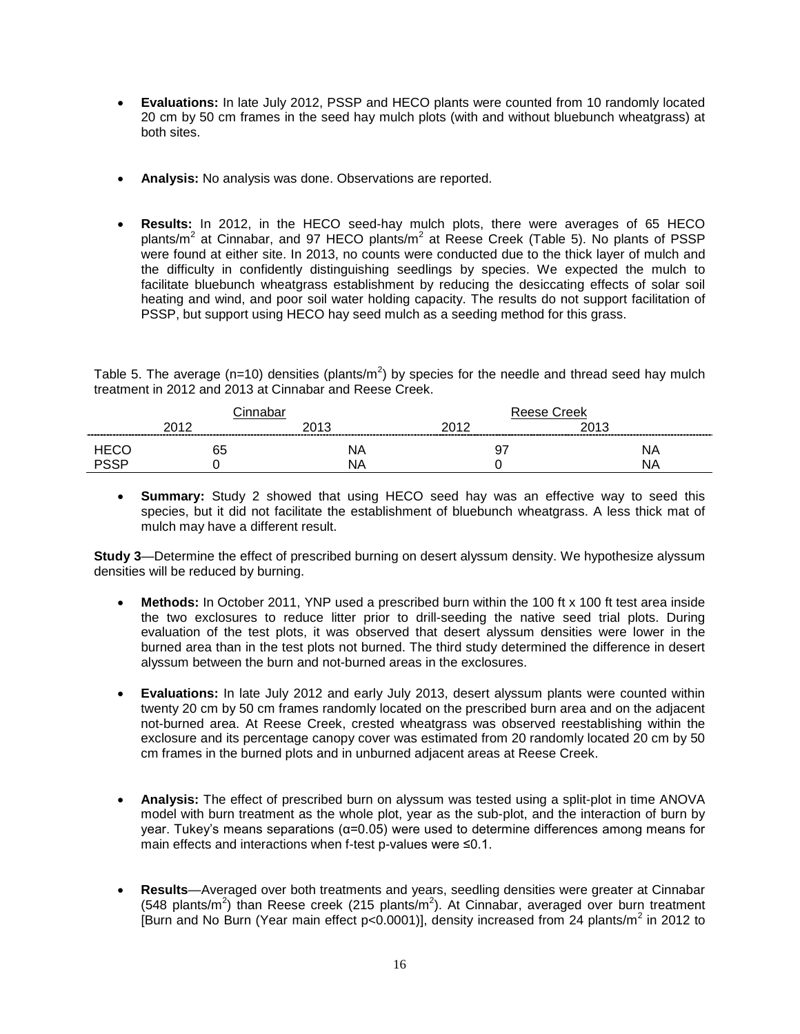- **Evaluations:** In late July 2012, PSSP and HECO plants were counted from 10 randomly located 20 cm by 50 cm frames in the seed hay mulch plots (with and without bluebunch wheatgrass) at both sites.
- **Analysis:** No analysis was done. Observations are reported.
- **Results:** In 2012, in the HECO seed-hay mulch plots, there were averages of 65 HECO plants/ $m^2$  at Cinnabar, and 97 HECO plants/ $m^2$  at Reese Creek (Table 5). No plants of PSSP were found at either site. In 2013, no counts were conducted due to the thick layer of mulch and the difficulty in confidently distinguishing seedlings by species. We expected the mulch to facilitate bluebunch wheatgrass establishment by reducing the desiccating effects of solar soil heating and wind, and poor soil water holding capacity. The results do not support facilitation of PSSP, but support using HECO hay seed mulch as a seeding method for this grass.

Table 5. The average (n=10) densities (plants/m<sup>2</sup>) by species for the needle and thread seed hay mulch treatment in 2012 and 2013 at Cinnabar and Reese Creek.

|    | ດ∧∢ດ | 0.040   | $\sim$ 1 $\sim$ |
|----|------|---------|-----------------|
| 65 | ₩    | ~-<br>u | NΑ              |
|    | ₩    |         |                 |

• **Summary:** Study 2 showed that using HECO seed hay was an effective way to seed this species, but it did not facilitate the establishment of bluebunch wheatgrass. A less thick mat of mulch may have a different result.

**Study 3**—Determine the effect of prescribed burning on desert alyssum density. We hypothesize alyssum densities will be reduced by burning.

- **Methods:** In October 2011, YNP used a prescribed burn within the 100 ft x 100 ft test area inside the two exclosures to reduce litter prior to drill-seeding the native seed trial plots. During evaluation of the test plots, it was observed that desert alyssum densities were lower in the burned area than in the test plots not burned. The third study determined the difference in desert alyssum between the burn and not-burned areas in the exclosures.
- **Evaluations:** In late July 2012 and early July 2013, desert alyssum plants were counted within twenty 20 cm by 50 cm frames randomly located on the prescribed burn area and on the adjacent not-burned area. At Reese Creek, crested wheatgrass was observed reestablishing within the exclosure and its percentage canopy cover was estimated from 20 randomly located 20 cm by 50 cm frames in the burned plots and in unburned adjacent areas at Reese Creek.
- **Analysis:** The effect of prescribed burn on alyssum was tested using a split-plot in time ANOVA model with burn treatment as the whole plot, year as the sub-plot, and the interaction of burn by year. Tukey's means separations (α=0.05) were used to determine differences among means for main effects and interactions when f-test p-values were ≤0.1.
- **Results**—Averaged over both treatments and years, seedling densities were greater at Cinnabar (548 plants/m<sup>2</sup>) than Reese creek (215 plants/m<sup>2</sup>). At Cinnabar, averaged over burn treatment [Burn and No Burn (Year main effect p<0.0001)], density increased from 24 plants/ $m^2$  in 2012 to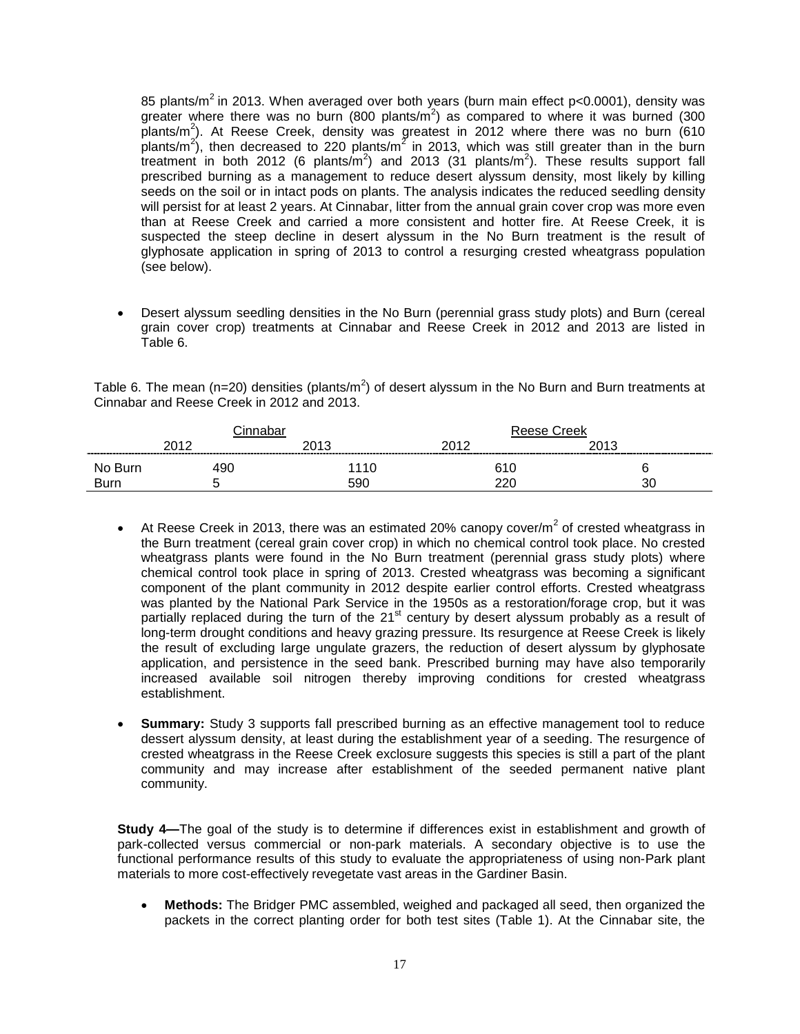85 plants/ $m^2$  in 2013. When averaged over both years (burn main effect p<0.0001), density was greater where there was no burn  $(800 \text{ plants/m}^2)$  as compared to where it was burned  $(300 \text{ A})$ plants/ $m^2$ ). At Reese Creek, density was greatest in 2012 where there was no burn (610 plants/m<sup>2</sup>), then decreased to 220 plants/m<sup>2</sup> in 2013, which was still greater than in the burn treatment in both 2012 (6 plants/m<sup>2</sup>) and 2013 (31 plants/m<sup>2</sup>). These results support fall prescribed burning as a management to reduce desert alyssum density, most likely by killing seeds on the soil or in intact pods on plants. The analysis indicates the reduced seedling density will persist for at least 2 years. At Cinnabar, litter from the annual grain cover crop was more even than at Reese Creek and carried a more consistent and hotter fire. At Reese Creek, it is suspected the steep decline in desert alyssum in the No Burn treatment is the result of glyphosate application in spring of 2013 to control a resurging crested wheatgrass population (see below).

• Desert alyssum seedling densities in the No Burn (perennial grass study plots) and Burn (cereal grain cover crop) treatments at Cinnabar and Reese Creek in 2012 and 2013 are listed in Table 6.

Table 6. The mean (n=20) densities (plants/m<sup>2</sup>) of desert alyssum in the No Burn and Burn treatments at Cinnabar and Reese Creek in 2012 and 2013.

|                        |       |       | raak       |      |
|------------------------|-------|-------|------------|------|
|                        | ດ∧⊿ ດ | ∩^י ∩ | ∩ו∩ר       | 2012 |
| No Rurr<br><b>Burn</b> | 490   | 590   | 610<br>חרר | วก   |

- At Reese Creek in 2013, there was an estimated 20% canopy cover/ $m^2$  of crested wheatgrass in the Burn treatment (cereal grain cover crop) in which no chemical control took place. No crested wheatgrass plants were found in the No Burn treatment (perennial grass study plots) where chemical control took place in spring of 2013. Crested wheatgrass was becoming a significant component of the plant community in 2012 despite earlier control efforts. Crested wheatgrass was planted by the National Park Service in the 1950s as a restoration/forage crop, but it was partially replaced during the turn of the  $21<sup>st</sup>$  century by desert alyssum probably as a result of long-term drought conditions and heavy grazing pressure. Its resurgence at Reese Creek is likely the result of excluding large ungulate grazers, the reduction of desert alyssum by glyphosate application, and persistence in the seed bank. Prescribed burning may have also temporarily increased available soil nitrogen thereby improving conditions for crested wheatgrass establishment.
- **Summary:** Study 3 supports fall prescribed burning as an effective management tool to reduce dessert alyssum density, at least during the establishment year of a seeding. The resurgence of crested wheatgrass in the Reese Creek exclosure suggests this species is still a part of the plant community and may increase after establishment of the seeded permanent native plant community.

**Study 4—**The goal of the study is to determine if differences exist in establishment and growth of park-collected versus commercial or non-park materials. A secondary objective is to use the functional performance results of this study to evaluate the appropriateness of using non-Park plant materials to more cost-effectively revegetate vast areas in the Gardiner Basin.

• **Methods:** The Bridger PMC assembled, weighed and packaged all seed, then organized the packets in the correct planting order for both test sites (Table 1). At the Cinnabar site, the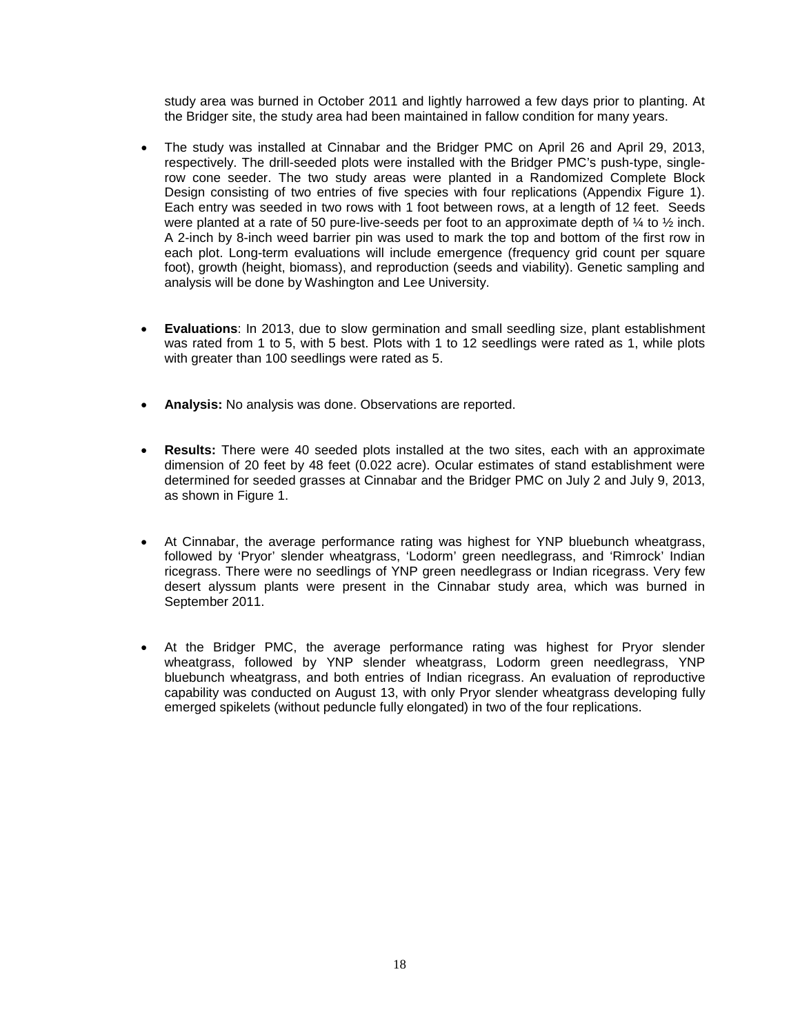study area was burned in October 2011 and lightly harrowed a few days prior to planting. At the Bridger site, the study area had been maintained in fallow condition for many years.

- The study was installed at Cinnabar and the Bridger PMC on April 26 and April 29, 2013, respectively. The drill-seeded plots were installed with the Bridger PMC's push-type, singlerow cone seeder. The two study areas were planted in a Randomized Complete Block Design consisting of two entries of five species with four replications (Appendix Figure 1). Each entry was seeded in two rows with 1 foot between rows, at a length of 12 feet. Seeds were planted at a rate of 50 pure-live-seeds per foot to an approximate depth of  $\frac{1}{4}$  to  $\frac{1}{2}$  inch. A 2-inch by 8-inch weed barrier pin was used to mark the top and bottom of the first row in each plot. Long-term evaluations will include emergence (frequency grid count per square foot), growth (height, biomass), and reproduction (seeds and viability). Genetic sampling and analysis will be done by Washington and Lee University.
- **Evaluations**: In 2013, due to slow germination and small seedling size, plant establishment was rated from 1 to 5, with 5 best. Plots with 1 to 12 seedlings were rated as 1, while plots with greater than 100 seedlings were rated as 5.
- **Analysis:** No analysis was done. Observations are reported.
- **Results:** There were 40 seeded plots installed at the two sites, each with an approximate dimension of 20 feet by 48 feet (0.022 acre). Ocular estimates of stand establishment were determined for seeded grasses at Cinnabar and the Bridger PMC on July 2 and July 9, 2013, as shown in Figure 1.
- At Cinnabar, the average performance rating was highest for YNP bluebunch wheatgrass, followed by 'Pryor' slender wheatgrass, 'Lodorm' green needlegrass, and 'Rimrock' Indian ricegrass. There were no seedlings of YNP green needlegrass or Indian ricegrass. Very few desert alyssum plants were present in the Cinnabar study area, which was burned in September 2011.
- At the Bridger PMC, the average performance rating was highest for Pryor slender wheatgrass, followed by YNP slender wheatgrass, Lodorm green needlegrass, YNP bluebunch wheatgrass, and both entries of Indian ricegrass. An evaluation of reproductive capability was conducted on August 13, with only Pryor slender wheatgrass developing fully emerged spikelets (without peduncle fully elongated) in two of the four replications.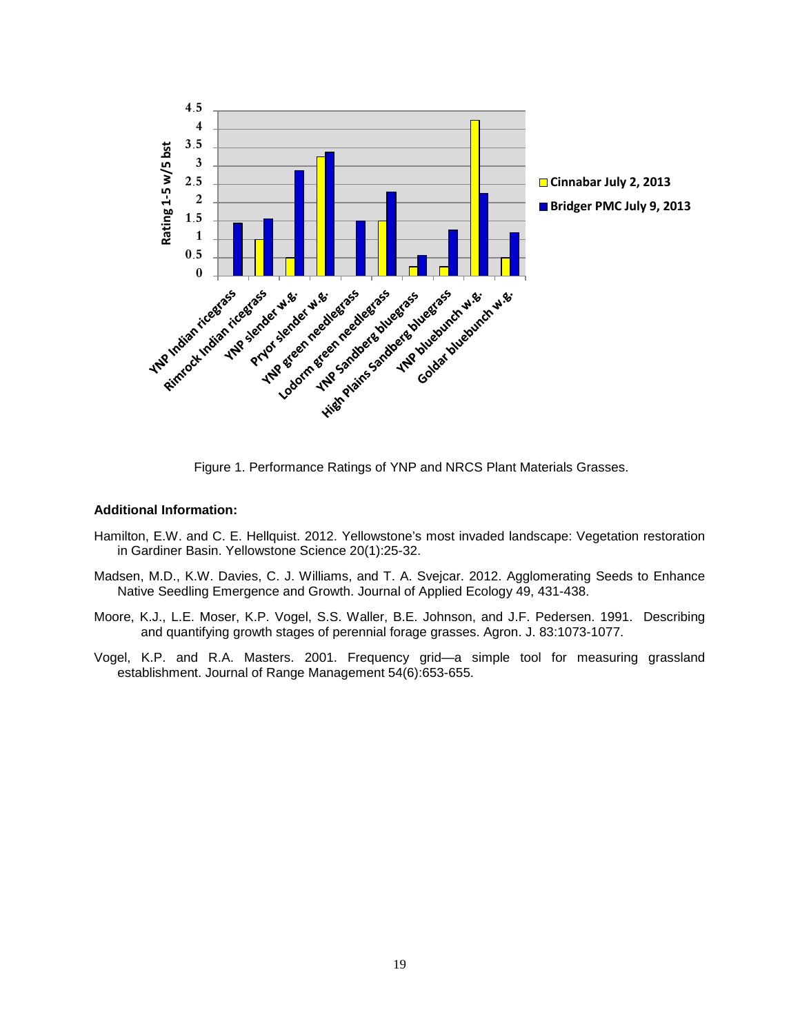

Figure 1. Performance Ratings of YNP and NRCS Plant Materials Grasses.

#### **Additional Information:**

- Hamilton, E.W. and C. E. Hellquist. 2012. Yellowstone's most invaded landscape: Vegetation restoration in Gardiner Basin. Yellowstone Science 20(1):25-32.
- Madsen, M.D., K.W. Davies, C. J. Williams, and T. A. Svejcar. 2012. Agglomerating Seeds to Enhance Native Seedling Emergence and Growth. Journal of Applied Ecology 49, 431-438.
- Moore, K.J., L.E. Moser, K.P. Vogel, S.S. Waller, B.E. Johnson, and J.F. Pedersen. 1991. Describing and quantifying growth stages of perennial forage grasses. Agron. J. 83:1073-1077.
- Vogel, K.P. and R.A. Masters. 2001. Frequency grid—a simple tool for measuring grassland establishment. Journal of Range Management 54(6):653-655.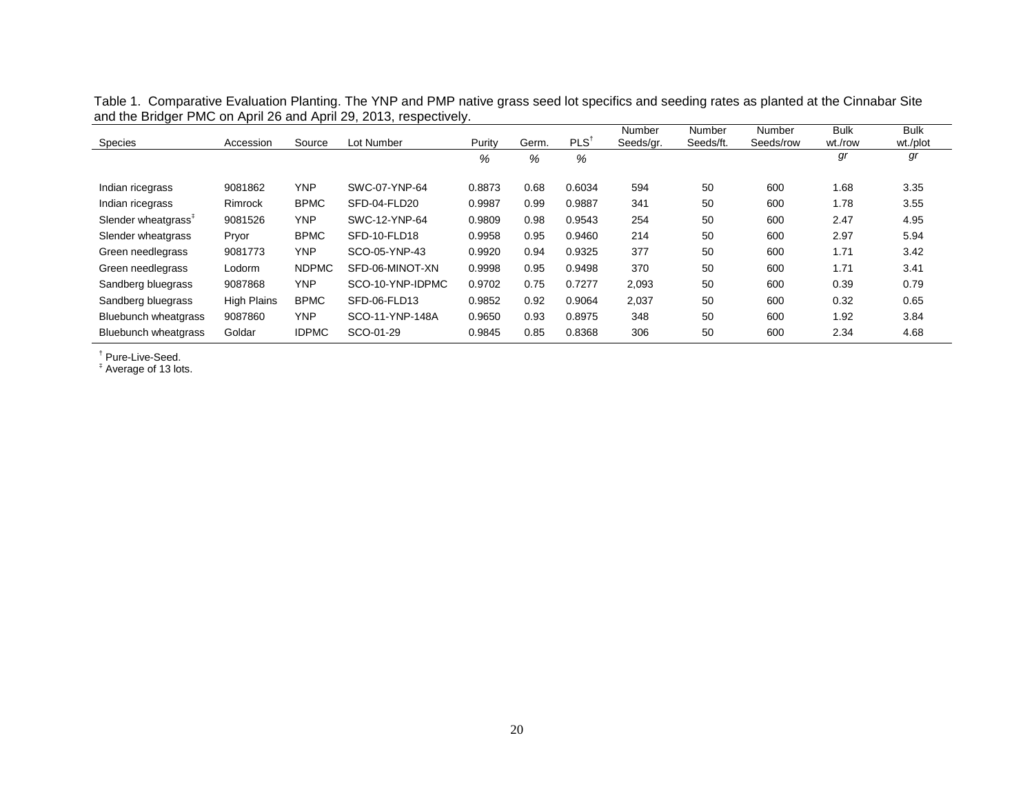|                                 |                    |              |                  |        |       |                  | Number    | Number    | Number    | <b>Bulk</b> | Bulk     |
|---------------------------------|--------------------|--------------|------------------|--------|-------|------------------|-----------|-----------|-----------|-------------|----------|
| Species                         | Accession          | Source       | Lot Number       | Purity | Germ. | PLS <sup>T</sup> | Seeds/gr. | Seeds/ft. | Seeds/row | wt./row     | wt./plot |
|                                 |                    |              |                  | %      | %     | %                |           |           |           | gr          | gr       |
| Indian ricegrass                | 9081862            | <b>YNP</b>   | SWC-07-YNP-64    | 0.8873 | 0.68  | 0.6034           | 594       | 50        | 600       | 1.68        | 3.35     |
| Indian ricegrass                | Rimrock            | <b>BPMC</b>  | SFD-04-FLD20     | 0.9987 | 0.99  | 0.9887           | 341       | 50        | 600       | 1.78        | 3.55     |
| Slender wheatgrass <sup>#</sup> | 9081526            | <b>YNP</b>   | SWC-12-YNP-64    | 0.9809 | 0.98  | 0.9543           | 254       | 50        | 600       | 2.47        | 4.95     |
| Slender wheatgrass              | Pryor              | <b>BPMC</b>  | SFD-10-FLD18     | 0.9958 | 0.95  | 0.9460           | 214       | 50        | 600       | 2.97        | 5.94     |
| Green needlegrass               | 9081773            | <b>YNP</b>   | SCO-05-YNP-43    | 0.9920 | 0.94  | 0.9325           | 377       | 50        | 600       | 1.71        | 3.42     |
| Green needlegrass               | Lodorm             | <b>NDPMC</b> | SFD-06-MINOT-XN  | 0.9998 | 0.95  | 0.9498           | 370       | 50        | 600       | 1.71        | 3.41     |
| Sandberg bluegrass              | 9087868            | <b>YNP</b>   | SCO-10-YNP-IDPMC | 0.9702 | 0.75  | 0.7277           | 2,093     | 50        | 600       | 0.39        | 0.79     |
| Sandberg bluegrass              | <b>High Plains</b> | <b>BPMC</b>  | SFD-06-FLD13     | 0.9852 | 0.92  | 0.9064           | 2,037     | 50        | 600       | 0.32        | 0.65     |
| Bluebunch wheatgrass            | 9087860            | <b>YNP</b>   | SCO-11-YNP-148A  | 0.9650 | 0.93  | 0.8975           | 348       | 50        | 600       | 1.92        | 3.84     |
| Bluebunch wheatgrass            | Goldar             | <b>IDPMC</b> | SCO-01-29        | 0.9845 | 0.85  | 0.8368           | 306       | 50        | 600       | 2.34        | 4.68     |

Table 1. Comparative Evaluation Planting. The YNP and PMP native grass seed lot specifics and seeding rates as planted at the Cinnabar Site and the Bridger PMC on April 26 and April 29, 2013, respectively.

 $<sup>†</sup>$  Pure-Live-Seed.<br> $<sup>‡</sup>$  Average of 13 lots.</sup></sup>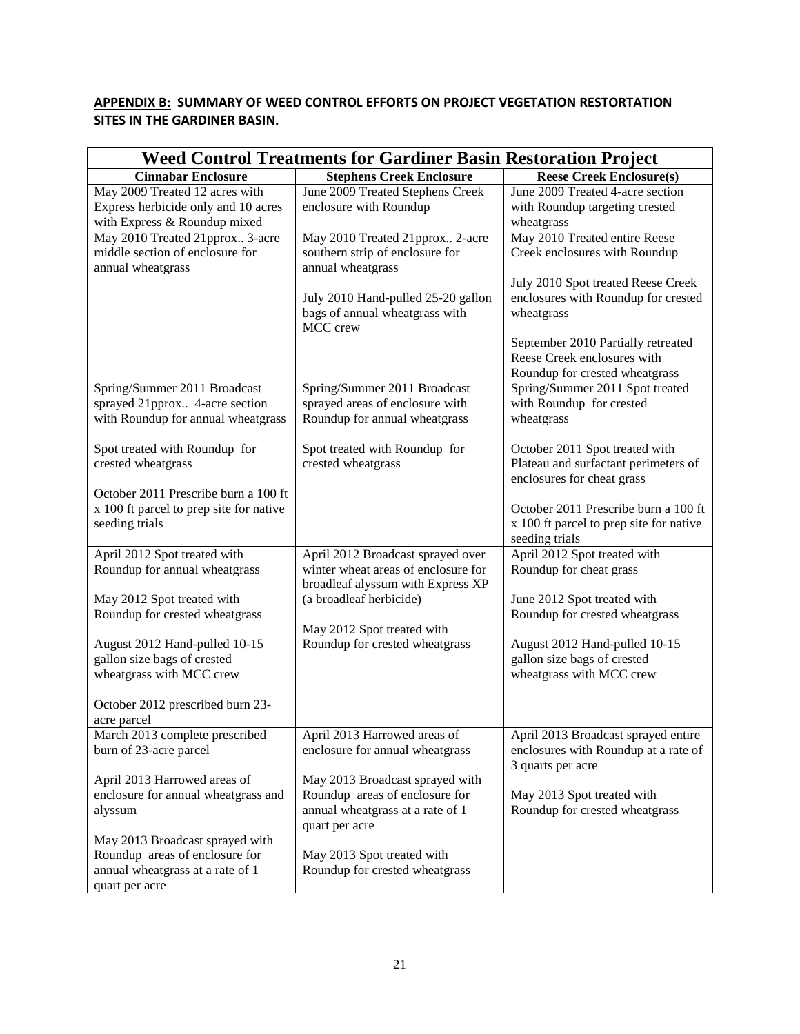# **APPENDIX B: SUMMARY OF WEED CONTROL EFFORTS ON PROJECT VEGETATION RESTORTATION SITES IN THE GARDINER BASIN.**

|                                                     | <b>Weed Control Treatments for Gardiner Basin Restoration Project</b> |                                                                        |
|-----------------------------------------------------|-----------------------------------------------------------------------|------------------------------------------------------------------------|
| <b>Cinnabar Enclosure</b>                           | <b>Stephens Creek Enclosure</b>                                       | <b>Reese Creek Enclosure(s)</b>                                        |
| May 2009 Treated 12 acres with                      | June 2009 Treated Stephens Creek                                      | June 2009 Treated 4-acre section                                       |
| Express herbicide only and 10 acres                 | enclosure with Roundup                                                | with Roundup targeting crested                                         |
| with Express & Roundup mixed                        |                                                                       | wheatgrass                                                             |
| May 2010 Treated 21pprox 3-acre                     | May 2010 Treated 21pprox 2-acre                                       | May 2010 Treated entire Reese                                          |
| middle section of enclosure for                     | southern strip of enclosure for                                       | Creek enclosures with Roundup                                          |
| annual wheatgrass                                   | annual wheatgrass                                                     |                                                                        |
|                                                     |                                                                       | July 2010 Spot treated Reese Creek                                     |
|                                                     | July 2010 Hand-pulled 25-20 gallon                                    | enclosures with Roundup for crested                                    |
|                                                     | bags of annual wheatgrass with                                        | wheatgrass                                                             |
|                                                     | MCC crew                                                              |                                                                        |
|                                                     |                                                                       | September 2010 Partially retreated                                     |
|                                                     |                                                                       | Reese Creek enclosures with                                            |
|                                                     |                                                                       | Roundup for crested wheatgrass                                         |
| Spring/Summer 2011 Broadcast                        | Spring/Summer 2011 Broadcast                                          | Spring/Summer 2011 Spot treated                                        |
| sprayed 21pprox 4-acre section                      | sprayed areas of enclosure with                                       | with Roundup for crested                                               |
| with Roundup for annual wheatgrass                  | Roundup for annual wheatgrass                                         | wheatgrass                                                             |
|                                                     | Spot treated with Roundup for                                         |                                                                        |
| Spot treated with Roundup for<br>crested wheatgrass | crested wheatgrass                                                    | October 2011 Spot treated with<br>Plateau and surfactant perimeters of |
|                                                     |                                                                       | enclosures for cheat grass                                             |
| October 2011 Prescribe burn a 100 ft                |                                                                       |                                                                        |
| x 100 ft parcel to prep site for native             |                                                                       | October 2011 Prescribe burn a 100 ft                                   |
| seeding trials                                      |                                                                       | x 100 ft parcel to prep site for native                                |
|                                                     |                                                                       | seeding trials                                                         |
| April 2012 Spot treated with                        | April 2012 Broadcast sprayed over                                     | April 2012 Spot treated with                                           |
| Roundup for annual wheatgrass                       | winter wheat areas of enclosure for                                   | Roundup for cheat grass                                                |
|                                                     | broadleaf alyssum with Express XP                                     |                                                                        |
| May 2012 Spot treated with                          | (a broadleaf herbicide)                                               | June 2012 Spot treated with                                            |
| Roundup for crested wheatgrass                      |                                                                       | Roundup for crested wheatgrass                                         |
|                                                     | May 2012 Spot treated with                                            |                                                                        |
| August 2012 Hand-pulled 10-15                       | Roundup for crested wheatgrass                                        | August 2012 Hand-pulled 10-15                                          |
| gallon size bags of crested                         |                                                                       | gallon size bags of crested                                            |
| wheatgrass with MCC crew                            |                                                                       | wheatgrass with MCC crew                                               |
|                                                     |                                                                       |                                                                        |
| October 2012 prescribed burn 23-                    |                                                                       |                                                                        |
| acre parcel                                         |                                                                       |                                                                        |
| March 2013 complete prescribed                      | April 2013 Harrowed areas of                                          | April 2013 Broadcast sprayed entire                                    |
| burn of 23-acre parcel                              | enclosure for annual wheatgrass                                       | enclosures with Roundup at a rate of                                   |
|                                                     |                                                                       | 3 quarts per acre                                                      |
| April 2013 Harrowed areas of                        | May 2013 Broadcast sprayed with                                       |                                                                        |
| enclosure for annual wheatgrass and                 | Roundup areas of enclosure for                                        | May 2013 Spot treated with                                             |
| alyssum                                             | annual wheatgrass at a rate of 1                                      | Roundup for crested wheatgrass                                         |
|                                                     | quart per acre                                                        |                                                                        |
| May 2013 Broadcast sprayed with                     |                                                                       |                                                                        |
| Roundup areas of enclosure for                      | May 2013 Spot treated with                                            |                                                                        |
| annual wheatgrass at a rate of 1                    | Roundup for crested wheatgrass                                        |                                                                        |
| quart per acre                                      |                                                                       |                                                                        |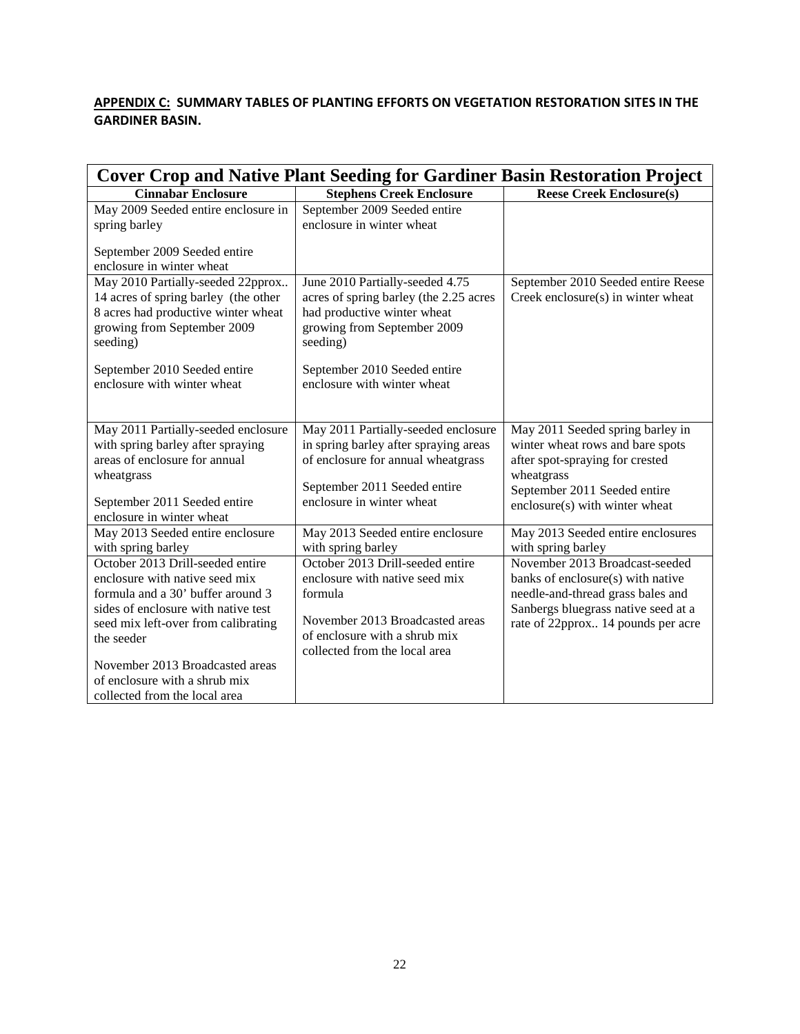# **APPENDIX C: SUMMARY TABLES OF PLANTING EFFORTS ON VEGETATION RESTORATION SITES IN THE GARDINER BASIN.**

|                                                                                                                                                                                                                                                                                                          | <b>Cover Crop and Native Plant Seeding for Gardiner Basin Restoration Project</b>                                                                                                  |                                                                                                                                                                                         |
|----------------------------------------------------------------------------------------------------------------------------------------------------------------------------------------------------------------------------------------------------------------------------------------------------------|------------------------------------------------------------------------------------------------------------------------------------------------------------------------------------|-----------------------------------------------------------------------------------------------------------------------------------------------------------------------------------------|
| <b>Cinnabar Enclosure</b>                                                                                                                                                                                                                                                                                | <b>Stephens Creek Enclosure</b>                                                                                                                                                    | <b>Reese Creek Enclosure(s)</b>                                                                                                                                                         |
| May 2009 Seeded entire enclosure in<br>spring barley                                                                                                                                                                                                                                                     | September 2009 Seeded entire<br>enclosure in winter wheat                                                                                                                          |                                                                                                                                                                                         |
| September 2009 Seeded entire<br>enclosure in winter wheat                                                                                                                                                                                                                                                |                                                                                                                                                                                    |                                                                                                                                                                                         |
| May 2010 Partially-seeded 22pprox<br>14 acres of spring barley (the other<br>8 acres had productive winter wheat<br>growing from September 2009<br>seeding)                                                                                                                                              | June 2010 Partially-seeded 4.75<br>acres of spring barley (the 2.25 acres<br>had productive winter wheat<br>growing from September 2009<br>seeding)                                | September 2010 Seeded entire Reese<br>Creek enclosure(s) in winter wheat                                                                                                                |
| September 2010 Seeded entire<br>enclosure with winter wheat                                                                                                                                                                                                                                              | September 2010 Seeded entire<br>enclosure with winter wheat                                                                                                                        |                                                                                                                                                                                         |
| May 2011 Partially-seeded enclosure<br>with spring barley after spraying<br>areas of enclosure for annual<br>wheatgrass<br>September 2011 Seeded entire<br>enclosure in winter wheat                                                                                                                     | May 2011 Partially-seeded enclosure<br>in spring barley after spraying areas<br>of enclosure for annual wheatgrass<br>September 2011 Seeded entire<br>enclosure in winter wheat    | May 2011 Seeded spring barley in<br>winter wheat rows and bare spots<br>after spot-spraying for crested<br>wheatgrass<br>September 2011 Seeded entire<br>enclosure(s) with winter wheat |
| May 2013 Seeded entire enclosure<br>with spring barley                                                                                                                                                                                                                                                   | May 2013 Seeded entire enclosure<br>with spring barley                                                                                                                             | May 2013 Seeded entire enclosures<br>with spring barley                                                                                                                                 |
| October 2013 Drill-seeded entire<br>enclosure with native seed mix<br>formula and a 30' buffer around 3<br>sides of enclosure with native test<br>seed mix left-over from calibrating<br>the seeder<br>November 2013 Broadcasted areas<br>of enclosure with a shrub mix<br>collected from the local area | October 2013 Drill-seeded entire<br>enclosure with native seed mix<br>formula<br>November 2013 Broadcasted areas<br>of enclosure with a shrub mix<br>collected from the local area | November 2013 Broadcast-seeded<br>banks of enclosure(s) with native<br>needle-and-thread grass bales and<br>Sanbergs bluegrass native seed at a<br>rate of 22pprox 14 pounds per acre   |